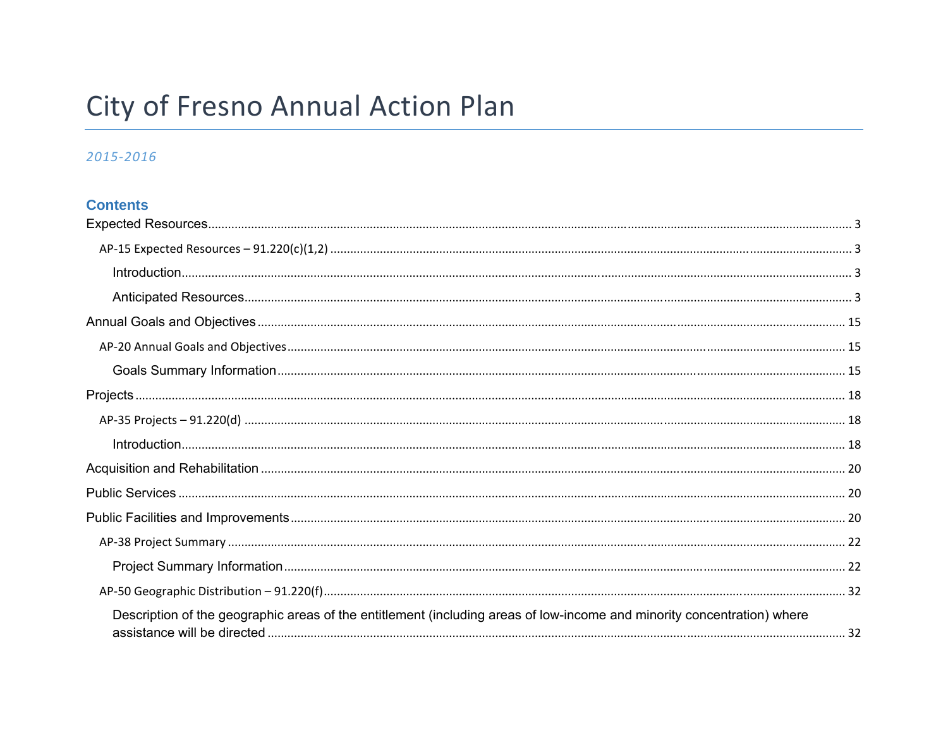# City of Fresno Annual Action Plan

## 2015-2016

## **Contents**

| Description of the geographic areas of the entitlement (including areas of low-income and minority concentration) where |  |
|-------------------------------------------------------------------------------------------------------------------------|--|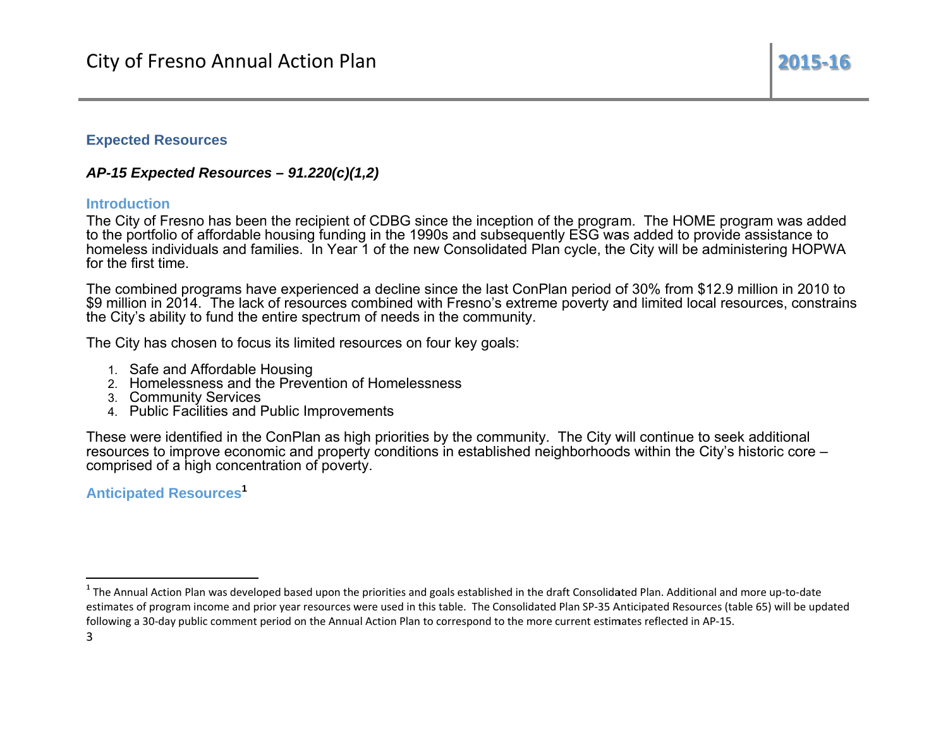#### **Expected Resources**

## AP-15 Expected Resources  $-91.220(c)(1,2)$

#### **Introduction**

The City of Fresno has been the recipient of CDBG since the inception of the program. The HOME program was added to the portfolio of affordable housing funding in the 1990s and subsequently ESG was added to provide assistance to homeless individuals and families. In Year 1 of the new Consolidated Plan cycle, the City will be administering HOPWA for the first time.

The combined programs have experienced a decline since the last ConPlan period of 30% from \$12.9 million in 2010 to \$9 million in 2014. The lack of resources combined with Fresno's extreme poverty and limited local resources, constrains the City's ability to fund the entire spectrum of needs in the community.

The City has chosen to focus its limited resources on four key goals:

- 1. Safe and Affordable Housing
- 2. Homelessness and the Prevention of Homelessness
- 3. Community Services
- 4. Public Facilities and Public Improvements

These were identified in the ConPlan as high priorities by the community. The City will continue to seek additional resources to improve economic and property conditions in established neighborhoods within the City's historic core comprised of a high concentration of poverty.

## **Anticipated Resources<sup>1</sup>**

<sup>&</sup>lt;sup>1</sup> The Annual Action Plan was developed based upon the priorities and goals established in the draft Consolidated Plan. Additional and more up-to-date estimates of program income and prior year resources were used in this table. The Consolidated Plan SP-35 Anticipated Resources (table 65) will be updated following a 30-day public comment period on the Annual Action Plan to correspond to the more current estimates reflected in AP-15.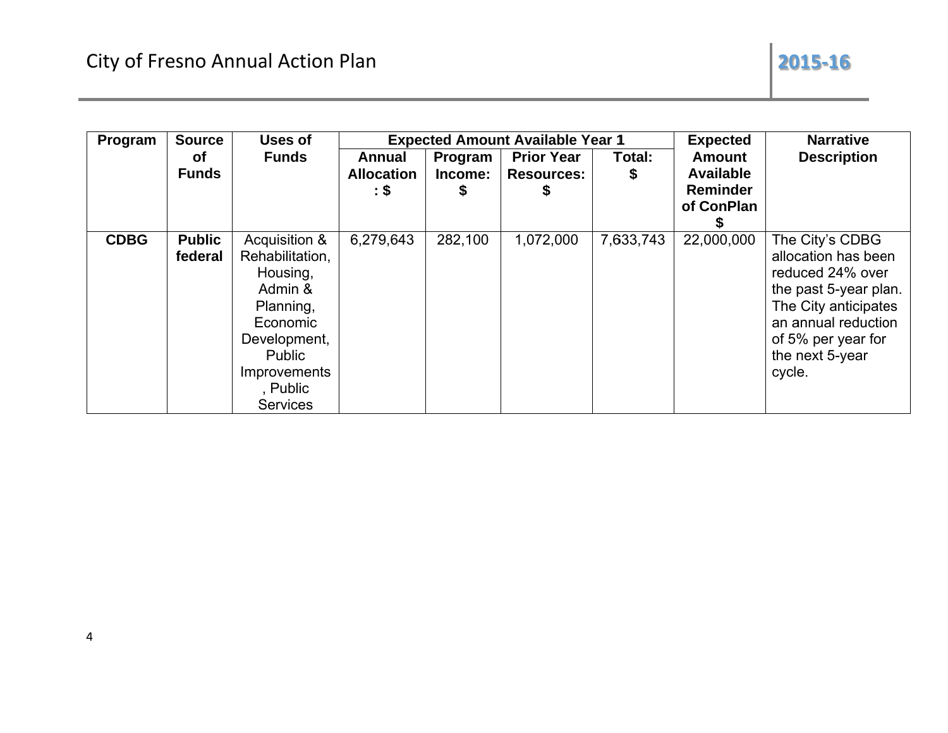| Program     | <b>Source</b>            | Uses of                                                                                                                                                          |                                    |               | <b>Expected Amount Available Year 1</b> |           | <b>Expected</b>                                   | <b>Narrative</b>                                                                                                                                                                      |
|-------------|--------------------------|------------------------------------------------------------------------------------------------------------------------------------------------------------------|------------------------------------|---------------|-----------------------------------------|-----------|---------------------------------------------------|---------------------------------------------------------------------------------------------------------------------------------------------------------------------------------------|
|             | <b>of</b>                | <b>Funds</b>                                                                                                                                                     | Annual                             | Program       | <b>Prior Year</b>                       | Total:    | <b>Amount</b>                                     | <b>Description</b>                                                                                                                                                                    |
|             | <b>Funds</b>             |                                                                                                                                                                  | <b>Allocation</b><br>$\mathbf{.}\$ | Income:<br>\$ | <b>Resources:</b><br>P                  | \$        | <b>Available</b><br><b>Reminder</b><br>of ConPlan |                                                                                                                                                                                       |
| <b>CDBG</b> | <b>Public</b><br>federal | Acquisition &<br>Rehabilitation,<br>Housing,<br>Admin &<br>Planning,<br>Economic<br>Development,<br><b>Public</b><br>Improvements<br>, Public<br><b>Services</b> | 6,279,643                          | 282,100       | 1,072,000                               | 7,633,743 | 22,000,000                                        | The City's CDBG<br>allocation has been<br>reduced 24% over<br>the past 5-year plan.<br>The City anticipates<br>an annual reduction<br>of 5% per year for<br>the next 5-year<br>cycle. |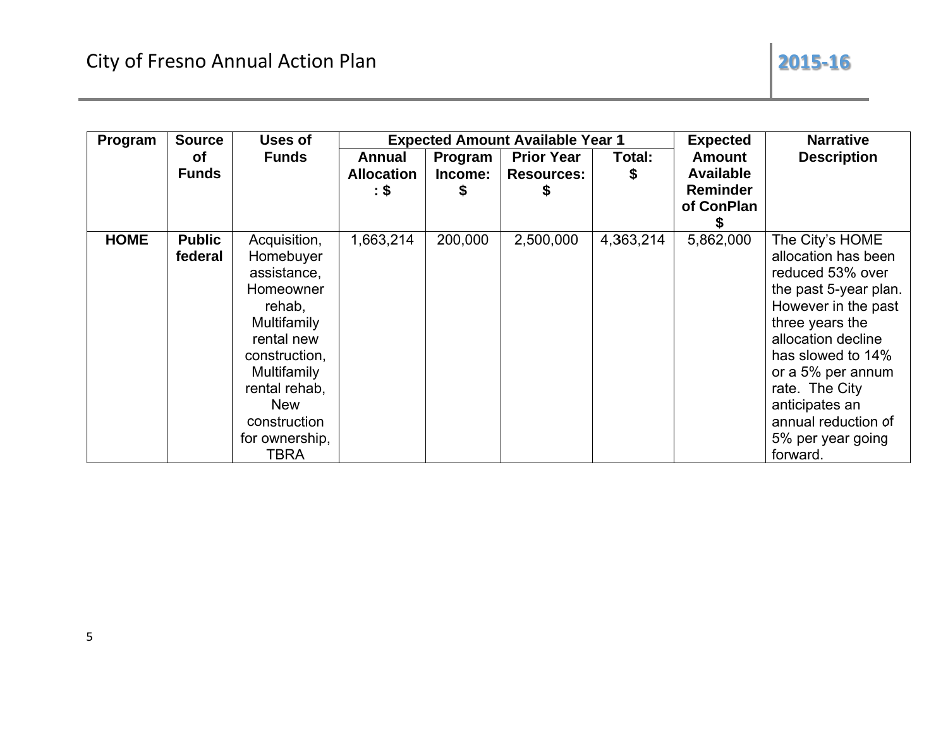| Program     | <b>Source</b> | Uses of            |                   |         | <b>Expected Amount Available Year 1</b> | <b>Expected</b> | <b>Narrative</b> |                       |
|-------------|---------------|--------------------|-------------------|---------|-----------------------------------------|-----------------|------------------|-----------------------|
|             | <b>of</b>     | <b>Funds</b>       | Annual            | Program | <b>Prior Year</b>                       | Total:          | <b>Amount</b>    | <b>Description</b>    |
|             | <b>Funds</b>  |                    | <b>Allocation</b> | Income: | <b>Resources:</b>                       | \$              | <b>Available</b> |                       |
|             |               |                    | $\mathbf{.}\$     | \$      |                                         |                 | <b>Reminder</b>  |                       |
|             |               |                    |                   |         |                                         |                 | of ConPlan       |                       |
|             |               |                    |                   |         |                                         |                 |                  |                       |
| <b>HOME</b> | <b>Public</b> | Acquisition,       | 1,663,214         | 200,000 | 2,500,000                               | 4,363,214       | 5,862,000        | The City's HOME       |
|             | federal       | Homebuyer          |                   |         |                                         |                 |                  | allocation has been   |
|             |               | assistance,        |                   |         |                                         |                 |                  | reduced 53% over      |
|             |               | Homeowner          |                   |         |                                         |                 |                  | the past 5-year plan. |
|             |               | rehab,             |                   |         |                                         |                 |                  | However in the past   |
|             |               | <b>Multifamily</b> |                   |         |                                         |                 |                  | three years the       |
|             |               | rental new         |                   |         |                                         |                 |                  | allocation decline    |
|             |               | construction,      |                   |         |                                         |                 |                  | has slowed to 14%     |
|             |               | Multifamily        |                   |         |                                         |                 |                  | or a 5% per annum     |
|             |               | rental rehab,      |                   |         |                                         |                 |                  | rate. The City        |
|             |               | <b>New</b>         |                   |         |                                         |                 |                  | anticipates an        |
|             |               | construction       |                   |         |                                         |                 |                  | annual reduction of   |
|             |               | for ownership,     |                   |         |                                         |                 |                  | 5% per year going     |
|             |               | TBRA               |                   |         |                                         |                 |                  | forward.              |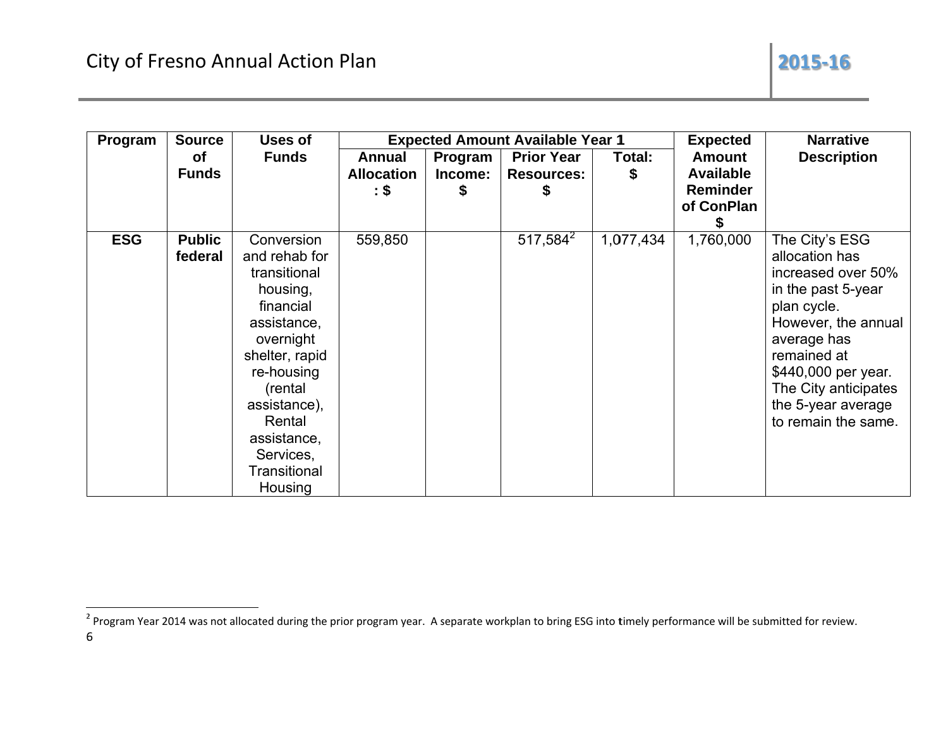| Program    | <b>Source</b> | Uses of        |                   |         | <b>Expected Amount Available Year 1</b> |           | <b>Expected</b>  | <b>Narrative</b>     |  |
|------------|---------------|----------------|-------------------|---------|-----------------------------------------|-----------|------------------|----------------------|--|
|            | <b>of</b>     | <b>Funds</b>   | Annual            | Program | <b>Prior Year</b>                       | Total:    | <b>Amount</b>    | <b>Description</b>   |  |
|            | <b>Funds</b>  |                | <b>Allocation</b> | Income: | <b>Resources:</b>                       | S         | <b>Available</b> |                      |  |
|            |               |                | : \$              | \$      |                                         |           | <b>Reminder</b>  |                      |  |
|            |               |                |                   |         |                                         |           | of ConPlan       |                      |  |
|            |               |                |                   |         |                                         |           |                  |                      |  |
| <b>ESG</b> | <b>Public</b> | Conversion     | 559,850           |         | 517,584 <sup>2</sup>                    | 1,077,434 | 1,760,000        | The City's ESG       |  |
|            | federal       | and rehab for  |                   |         |                                         |           |                  | allocation has       |  |
|            |               | transitional   |                   |         |                                         |           |                  | increased over 50%   |  |
|            |               | housing,       |                   |         |                                         |           |                  | in the past 5-year   |  |
|            |               | financial      |                   |         |                                         |           |                  | plan cycle.          |  |
|            |               | assistance,    |                   |         |                                         |           |                  | However, the annual  |  |
|            |               | overnight      |                   |         |                                         |           |                  | average has          |  |
|            |               | shelter, rapid |                   |         |                                         |           |                  | remained at          |  |
|            |               | re-housing     |                   |         |                                         |           |                  | \$440,000 per year.  |  |
|            |               | (rental        |                   |         |                                         |           |                  | The City anticipates |  |
|            |               | assistance),   |                   |         |                                         |           |                  | the 5-year average   |  |
|            |               | Rental         |                   |         |                                         |           |                  | to remain the same.  |  |
|            |               | assistance,    |                   |         |                                         |           |                  |                      |  |
|            |               | Services,      |                   |         |                                         |           |                  |                      |  |
|            |               | Transitional   |                   |         |                                         |           |                  |                      |  |
|            |               | Housing        |                   |         |                                         |           |                  |                      |  |

<sup>&</sup>lt;sup>2</sup> Program Year 2014 was not allocated during the prior program year. A separate workplan to bring ESG into timely performance will be submitted for review.  $\sqrt{6}$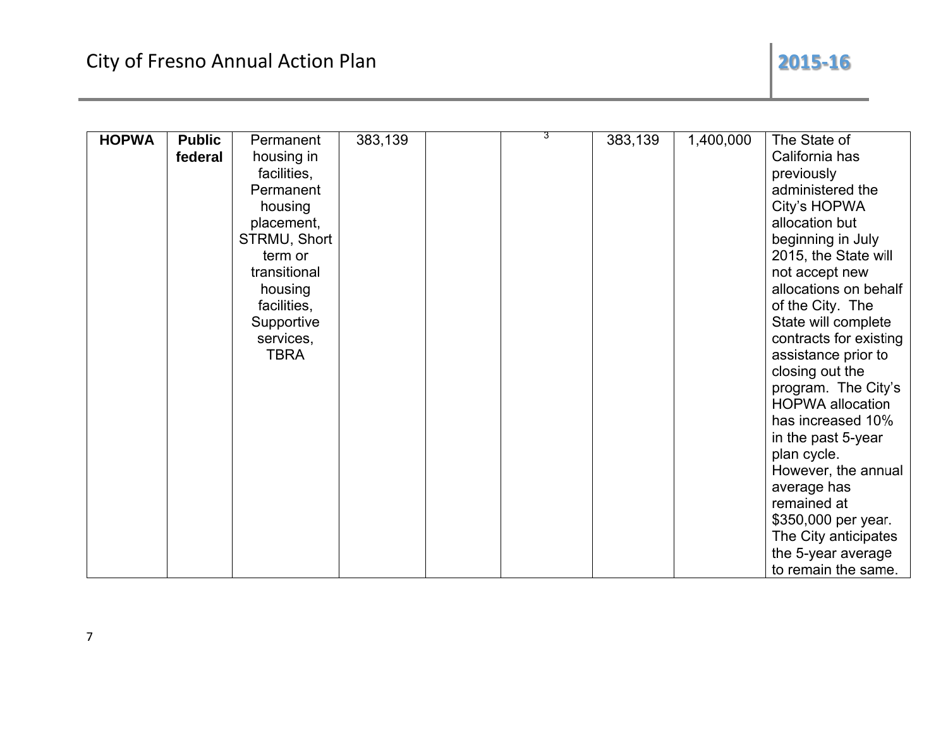## 2015-16

| <b>HOPWA</b> | <b>Public</b> | Permanent    | 383,139 | 3 | 383,139 | 1,400,000 | The State of            |
|--------------|---------------|--------------|---------|---|---------|-----------|-------------------------|
|              | federal       | housing in   |         |   |         |           | California has          |
|              |               | facilities,  |         |   |         |           | previously              |
|              |               | Permanent    |         |   |         |           | administered the        |
|              |               | housing      |         |   |         |           | City's HOPWA            |
|              |               | placement,   |         |   |         |           | allocation but          |
|              |               | STRMU, Short |         |   |         |           | beginning in July       |
|              |               | term or      |         |   |         |           | 2015, the State will    |
|              |               | transitional |         |   |         |           | not accept new          |
|              |               | housing      |         |   |         |           | allocations on behalf   |
|              |               | facilities,  |         |   |         |           | of the City. The        |
|              |               | Supportive   |         |   |         |           | State will complete     |
|              |               | services,    |         |   |         |           | contracts for existing  |
|              |               | TBRA         |         |   |         |           | assistance prior to     |
|              |               |              |         |   |         |           | closing out the         |
|              |               |              |         |   |         |           | program. The City's     |
|              |               |              |         |   |         |           | <b>HOPWA</b> allocation |
|              |               |              |         |   |         |           | has increased 10%       |
|              |               |              |         |   |         |           | in the past 5-year      |
|              |               |              |         |   |         |           | plan cycle.             |
|              |               |              |         |   |         |           | However, the annual     |
|              |               |              |         |   |         |           | average has             |
|              |               |              |         |   |         |           | remained at             |
|              |               |              |         |   |         |           | \$350,000 per year.     |
|              |               |              |         |   |         |           | The City anticipates    |
|              |               |              |         |   |         |           | the 5-year average      |
|              |               |              |         |   |         |           | to remain the same.     |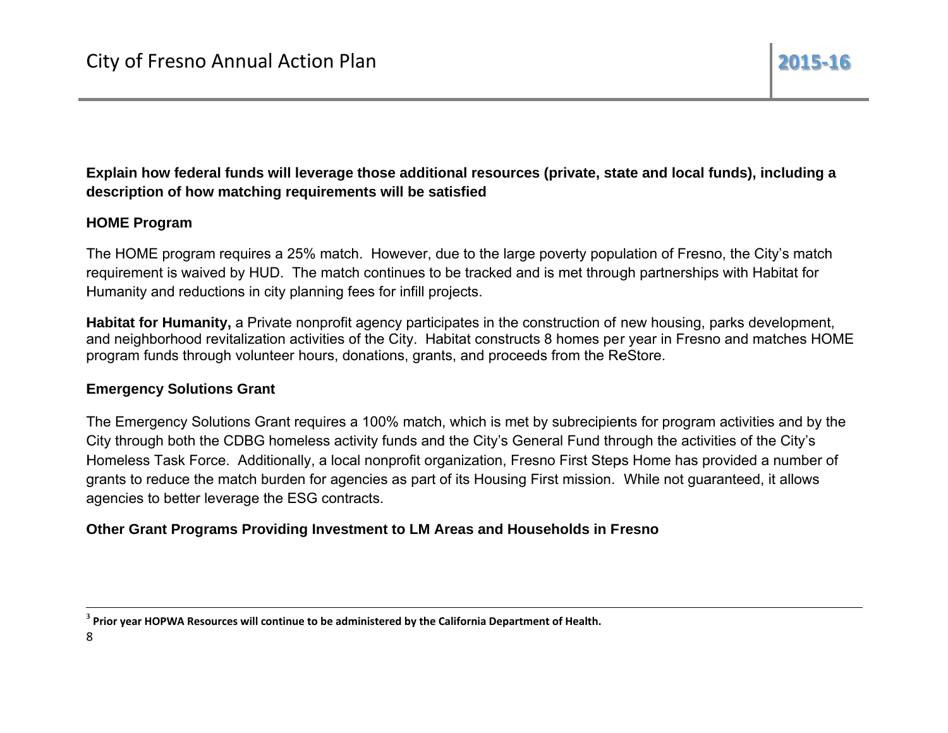## Explain how federal funds will leverage those additional resources (private, state and local funds), including a description of how matching requirements will be satisfied

## **HOME Program**

The HOME program requires a 25% match. However, due to the large poverty population of Fresno, the City's match requirement is waived by HUD. The match continues to be tracked and is met through partnerships with Habitat for Humanity and reductions in city planning fees for infill projects.

Habitat for Humanity, a Private nonprofit agency participates in the construction of new housing, parks development, and neighborhood revitalization activities of the City. Habitat constructs 8 homes per year in Fresno and matches HOME program funds through volunteer hours, donations, grants, and proceeds from the ReStore.

## **Emergency Solutions Grant**

The Emergency Solutions Grant requires a 100% match, which is met by subrecipients for program activities and by the City through both the CDBG homeless activity funds and the City's General Fund through the activities of the City's Homeless Task Force. Additionally, a local nonprofit organization, Fresno First Steps Home has provided a number of grants to reduce the match burden for agencies as part of its Housing First mission. While not quaranteed, it allows agencies to better leverage the ESG contracts.

## Other Grant Programs Providing Investment to LM Areas and Households in Fresno

<sup>&</sup>lt;sup>3</sup> Prior year HOPWA Resources will continue to be administered by the California Department of Health.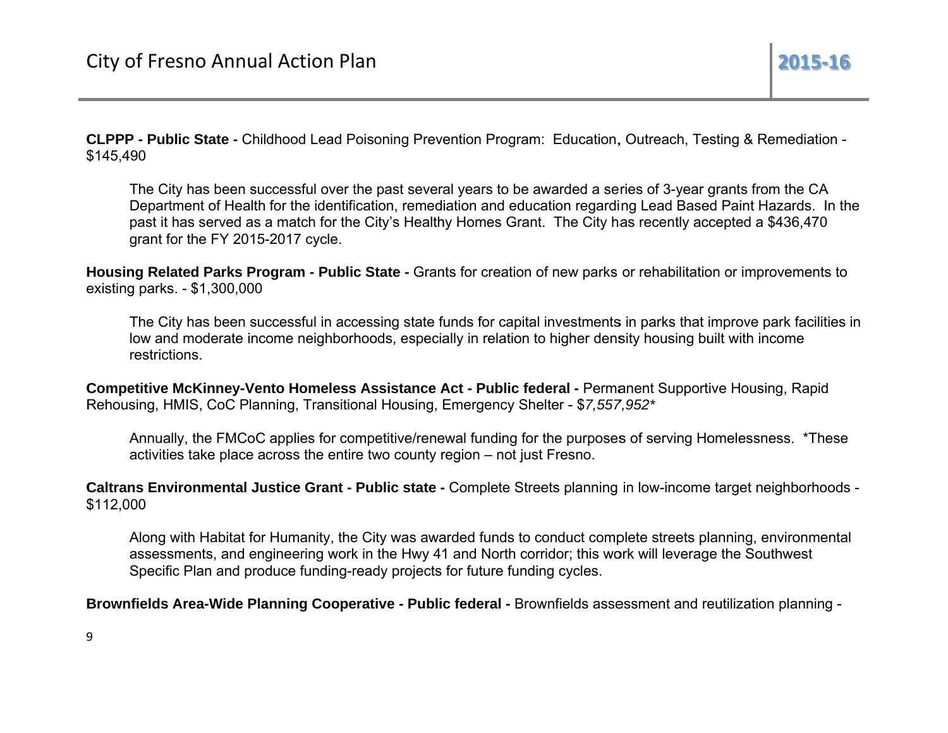CLPPP - Public State - Childhood Lead Poisoning Prevention Program: Education, Outreach, Testing & Remediation -\$145,490

The City has been successful over the past several years to be awarded a series of 3-year grants from the CA Department of Health for the identification, remediation and education regarding Lead Based Paint Hazards. In the past it has served as a match for the City's Healthy Homes Grant. The City has recently accepted a \$436,470 grant for the FY 2015-2017 cycle.

Housing Related Parks Program - Public State - Grants for creation of new parks or rehabilitation or improvements to existing parks. - \$1,300,000

The City has been successful in accessing state funds for capital investments in parks that improve park facilities in low and moderate income neighborhoods, especially in relation to higher density housing built with income restrictions.

Competitive McKinney-Vento Homeless Assistance Act - Public federal - Permanent Supportive Housing, Rapid Rehousing, HMIS, CoC Planning, Transitional Housing, Emergency Shelter - \$7,557,952\*

Annually, the FMCoC applies for competitive/renewal funding for the purposes of serving Homelessness. \*These activities take place across the entire two county region – not just Fresno.

Caltrans Environmental Justice Grant - Public state - Complete Streets planning in low-income target neighborhoods -\$112.000

Along with Habitat for Humanity, the City was awarded funds to conduct complete streets planning, environmental assessments, and engineering work in the Hwy 41 and North corridor; this work will leverage the Southwest Specific Plan and produce funding-ready projects for future funding cycles.

Brownfields Area-Wide Planning Cooperative - Public federal - Brownfields assessment and reutilization planning -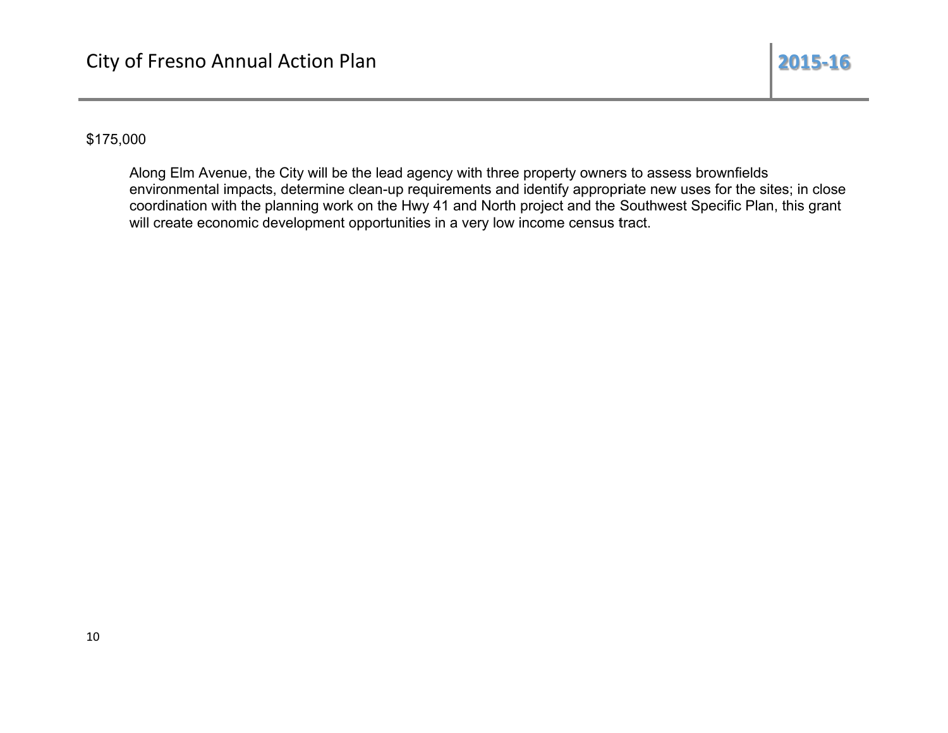## \$175,000

Along Elm Avenue, the City will be the lead agency with three property owners to assess brownfields environmental impacts, determine clean-up requirements and identify appropriate new uses for the sites; in close coordination with the planning work on the Hwy 41 and North project and the Southwest Specific Plan, this grant will create economic development opportunities in a very low income census tract.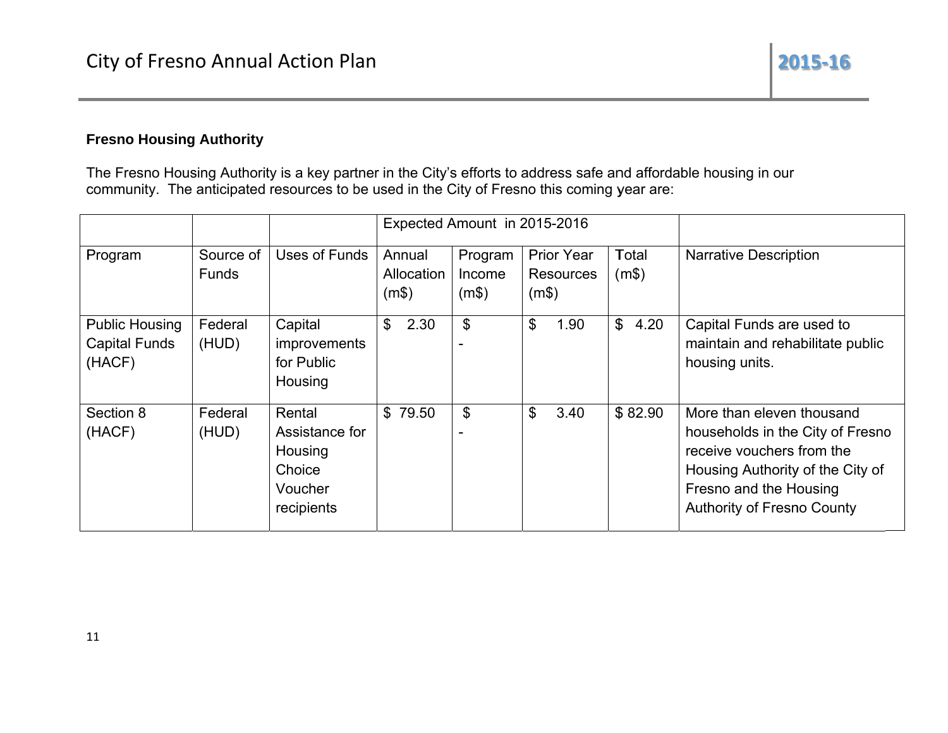## **Fresno Housing Authority**

The Fresno Housing Authority is a key partner in the City's efforts to address safe and affordable housing in our community. The anticipated resources to be used in the City of Fresno this coming year are:

|                                                         |                           |                                                                        |                               |                            | Expected Amount in 2015-2016                   |                     |                                                                                                                                                                                               |
|---------------------------------------------------------|---------------------------|------------------------------------------------------------------------|-------------------------------|----------------------------|------------------------------------------------|---------------------|-----------------------------------------------------------------------------------------------------------------------------------------------------------------------------------------------|
| Program                                                 | Source of<br><b>Funds</b> | Uses of Funds                                                          | Annual<br>Allocation<br>(m\$) | Program<br>Income<br>(m\$) | <b>Prior Year</b><br><b>Resources</b><br>(m\$) | Total<br>(m\$)      | <b>Narrative Description</b>                                                                                                                                                                  |
| <b>Public Housing</b><br><b>Capital Funds</b><br>(HACF) | Federal<br>(HUD)          | Capital<br>improvements<br>for Public<br>Housing                       | $\mathfrak{L}$<br>2.30        | \$                         | $\mathcal{L}$<br>1.90                          | $\mathbb S$<br>4.20 | Capital Funds are used to<br>maintain and rehabilitate public<br>housing units.                                                                                                               |
| Section 8<br>(HACF)                                     | Federal<br>(HUD)          | Rental<br>Assistance for<br>Housing<br>Choice<br>Voucher<br>recipients | \$79.50                       | \$                         | \$<br>3.40                                     | \$82.90             | More than eleven thousand<br>households in the City of Fresno<br>receive vouchers from the<br>Housing Authority of the City of<br>Fresno and the Housing<br><b>Authority of Fresno County</b> |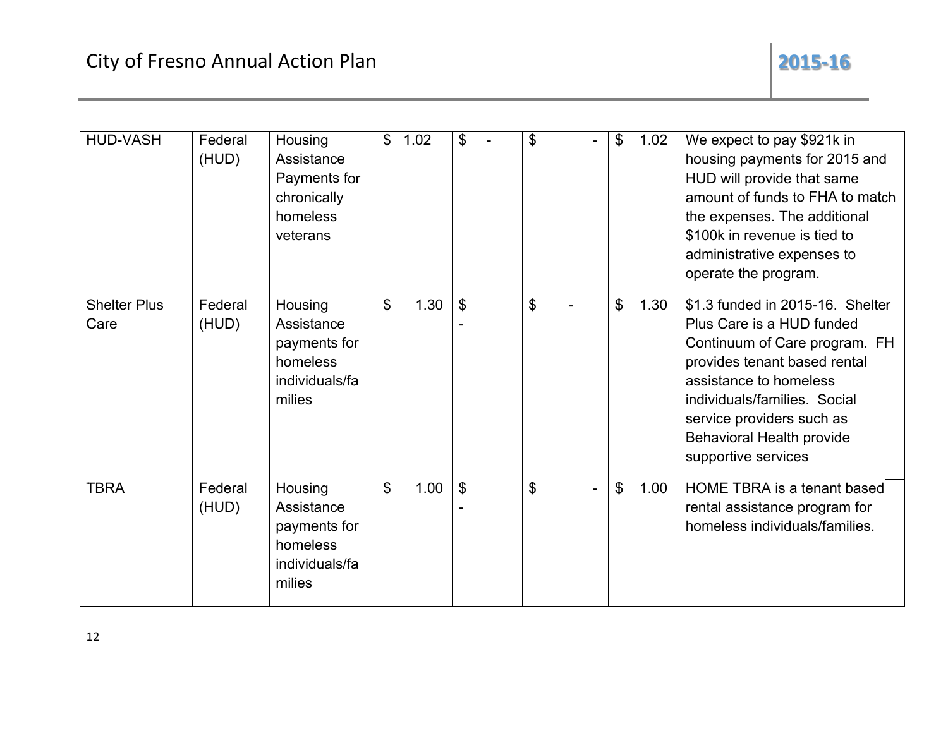| <b>HUD-VASH</b>             | Federal<br>(HUD) | Housing<br>Assistance<br>Payments for<br>chronically<br>homeless<br>veterans  | $\mathfrak{S}$ | 1.02 | \$             | $\mathbf{\$}$ | $\mathbf{\$}$ | 1.02 | We expect to pay \$921k in<br>housing payments for 2015 and<br>HUD will provide that same<br>amount of funds to FHA to match<br>the expenses. The additional<br>\$100k in revenue is tied to<br>administrative expenses to<br>operate the program.                        |
|-----------------------------|------------------|-------------------------------------------------------------------------------|----------------|------|----------------|---------------|---------------|------|---------------------------------------------------------------------------------------------------------------------------------------------------------------------------------------------------------------------------------------------------------------------------|
| <b>Shelter Plus</b><br>Care | Federal<br>(HUD) | Housing<br>Assistance<br>payments for<br>homeless<br>individuals/fa<br>milies | \$             | 1.30 | $\mathcal{S}$  | \$            | \$            | 1.30 | \$1.3 funded in 2015-16. Shelter<br>Plus Care is a HUD funded<br>Continuum of Care program. FH<br>provides tenant based rental<br>assistance to homeless<br>individuals/families. Social<br>service providers such as<br>Behavioral Health provide<br>supportive services |
| <b>TBRA</b>                 | Federal<br>(HUD) | Housing<br>Assistance<br>payments for<br>homeless<br>individuals/fa<br>milies | \$             | 1.00 | $\mathfrak{L}$ | \$            | \$            | 1.00 | HOME TBRA is a tenant based<br>rental assistance program for<br>homeless individuals/families.                                                                                                                                                                            |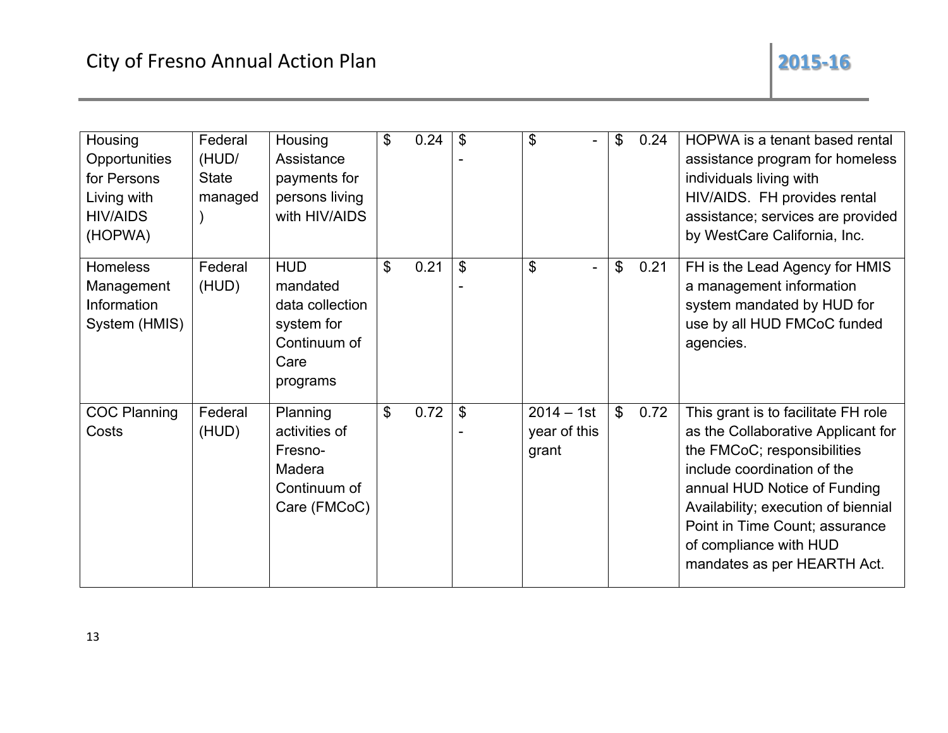| Housing<br>Opportunities<br>for Persons<br>Living with<br><b>HIV/AIDS</b><br>(HOPWA) | Federal<br>(HUD/<br><b>State</b><br>managed | Housing<br>Assistance<br>payments for<br>persons living<br>with HIV/AIDS                    | $\mathfrak{L}$ | 0.24 | $\mathcal{S}$  | $\boldsymbol{\theta}$                 | \$             | 0.24 | HOPWA is a tenant based rental<br>assistance program for homeless<br>individuals living with<br>HIV/AIDS. FH provides rental<br>assistance; services are provided<br>by WestCare California, Inc.                                                                                                         |
|--------------------------------------------------------------------------------------|---------------------------------------------|---------------------------------------------------------------------------------------------|----------------|------|----------------|---------------------------------------|----------------|------|-----------------------------------------------------------------------------------------------------------------------------------------------------------------------------------------------------------------------------------------------------------------------------------------------------------|
| Homeless<br>Management<br>Information<br>System (HMIS)                               | Federal<br>(HUD)                            | <b>HUD</b><br>mandated<br>data collection<br>system for<br>Continuum of<br>Care<br>programs | \$             | 0.21 | $\mathfrak{S}$ | $\boldsymbol{\mathsf{S}}$             | $\mathfrak{P}$ | 0.21 | FH is the Lead Agency for HMIS<br>a management information<br>system mandated by HUD for<br>use by all HUD FMCoC funded<br>agencies.                                                                                                                                                                      |
| <b>COC Planning</b><br>Costs                                                         | Federal<br>(HUD)                            | Planning<br>activities of<br>Fresno-<br>Madera<br>Continuum of<br>Care (FMCoC)              | $\mathfrak{L}$ | 0.72 | \$             | $2014 - 1st$<br>year of this<br>grant | $\mathbb S$    | 0.72 | This grant is to facilitate FH role<br>as the Collaborative Applicant for<br>the FMCoC; responsibilities<br>include coordination of the<br>annual HUD Notice of Funding<br>Availability; execution of biennial<br>Point in Time Count; assurance<br>of compliance with HUD<br>mandates as per HEARTH Act. |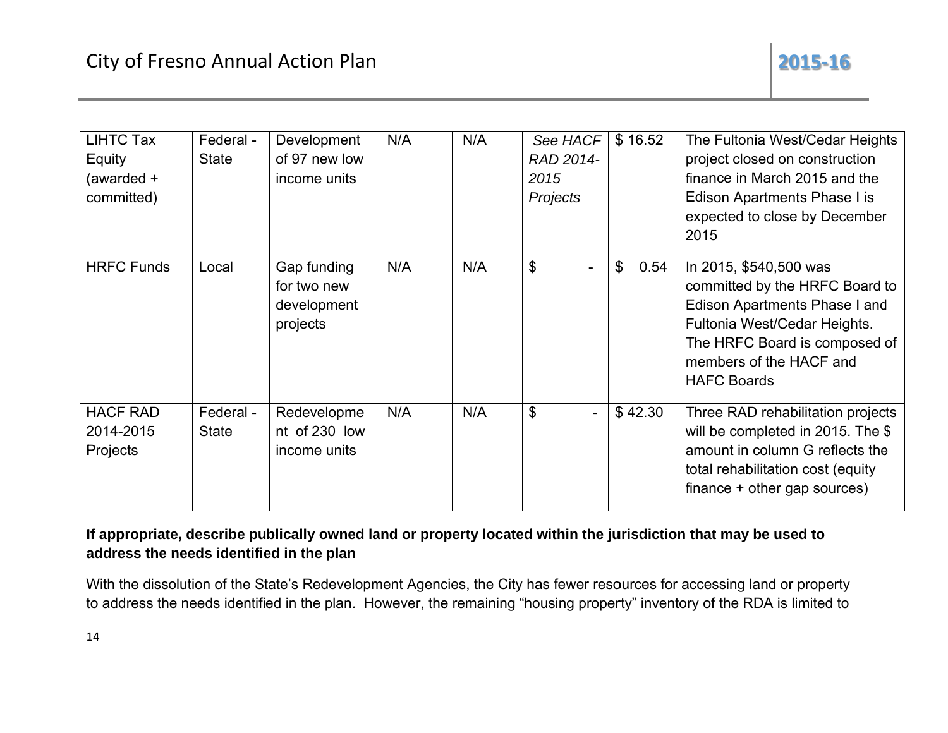| <b>LIHTC Tax</b><br>Equity<br>(awarded +<br>committed) | Federal -<br><b>State</b> | Development<br>of 97 new low<br>income units          | N/A | N/A | See HACF<br>RAD 2014-<br>2015<br>Projects | \$16.52             | The Fultonia West/Cedar Heights<br>project closed on construction<br>finance in March 2015 and the<br>Edison Apartments Phase I is<br>expected to close by December<br>2015                                 |
|--------------------------------------------------------|---------------------------|-------------------------------------------------------|-----|-----|-------------------------------------------|---------------------|-------------------------------------------------------------------------------------------------------------------------------------------------------------------------------------------------------------|
| <b>HRFC Funds</b>                                      | Local                     | Gap funding<br>for two new<br>development<br>projects | N/A | N/A | \$<br>$\overline{\phantom{0}}$            | $\mathbb S$<br>0.54 | In 2015, \$540,500 was<br>committed by the HRFC Board to<br>Edison Apartments Phase I and<br>Fultonia West/Cedar Heights.<br>The HRFC Board is composed of<br>members of the HACF and<br><b>HAFC Boards</b> |
| <b>HACF RAD</b><br>2014-2015<br>Projects               | Federal -<br><b>State</b> | Redevelopme<br>nt of 230 low<br>income units          | N/A | N/A | \$                                        | \$42.30             | Three RAD rehabilitation projects<br>will be completed in 2015. The \$<br>amount in column G reflects the<br>total rehabilitation cost (equity<br>finance + other gap sources)                              |

## If appropriate, describe publically owned land or property located within the jurisdiction that may be used to address the needs identified in the plan

With the dissolution of the State's Redevelopment Agencies, the City has fewer resources for accessing land or property to address the needs identified in the plan. However, the remaining "housing property" inventory of the RDA is limited to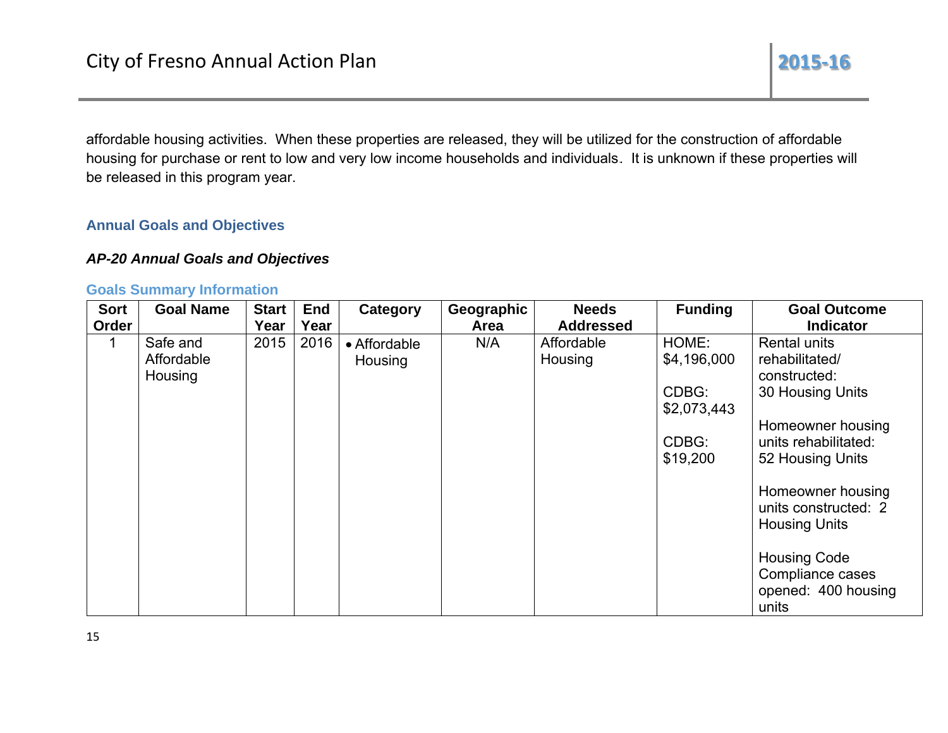affordable housing activities. When these properties are released, they will be utilized for the construction of affordable housing for purchase or rent to low and very low income households and individuals. It is unknown if these properties will be released in this program year.

## **Annual Goals and Objectives**

## **AP-20 Annual Goals and Objectives**

#### **Goals Summary Information**

| <b>Sort</b><br>Order | <b>Goal Name</b> | <b>Start</b><br>Year | <b>End</b><br>Year | Category     | Geographic<br>Area | <b>Needs</b><br><b>Addressed</b> | <b>Funding</b> | <b>Goal Outcome</b><br><b>Indicator</b>                                 |
|----------------------|------------------|----------------------|--------------------|--------------|--------------------|----------------------------------|----------------|-------------------------------------------------------------------------|
|                      | Safe and         | 2015                 | 2016               | • Affordable | N/A                | Affordable                       | HOME:          | Rental units                                                            |
|                      | Affordable       |                      |                    | Housing      |                    | Housing                          | \$4,196,000    | rehabilitated/                                                          |
|                      | Housing          |                      |                    |              |                    |                                  |                | constructed:                                                            |
|                      |                  |                      |                    |              |                    |                                  | CDBG:          | 30 Housing Units                                                        |
|                      |                  |                      |                    |              |                    |                                  | \$2,073,443    |                                                                         |
|                      |                  |                      |                    |              |                    |                                  |                | Homeowner housing                                                       |
|                      |                  |                      |                    |              |                    |                                  | CDBG:          | units rehabilitated:                                                    |
|                      |                  |                      |                    |              |                    |                                  | \$19,200       | 52 Housing Units                                                        |
|                      |                  |                      |                    |              |                    |                                  |                | Homeowner housing<br>units constructed: 2<br><b>Housing Units</b>       |
|                      |                  |                      |                    |              |                    |                                  |                | <b>Housing Code</b><br>Compliance cases<br>opened: 400 housing<br>units |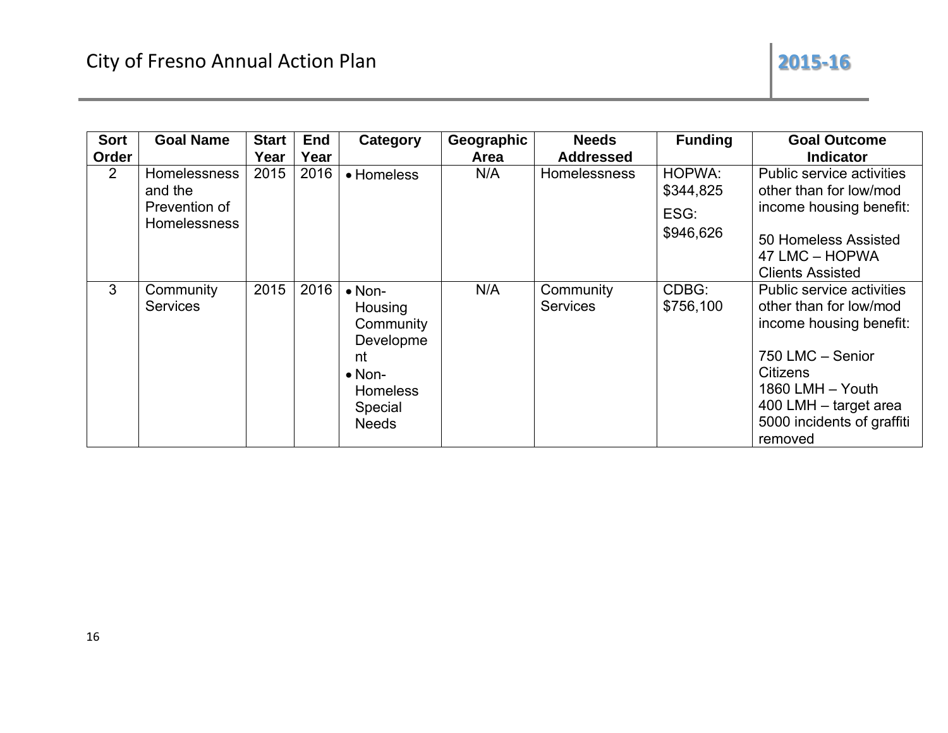| <b>Sort</b><br>Order | <b>Goal Name</b>                                                       | <b>Start</b><br>Year | <b>End</b><br>Year | Category                                                                                                                  | Geographic<br>Area | <b>Needs</b><br><b>Addressed</b> | <b>Funding</b>                           | <b>Goal Outcome</b><br><b>Indicator</b>                                                                                                                                                                            |
|----------------------|------------------------------------------------------------------------|----------------------|--------------------|---------------------------------------------------------------------------------------------------------------------------|--------------------|----------------------------------|------------------------------------------|--------------------------------------------------------------------------------------------------------------------------------------------------------------------------------------------------------------------|
| 2                    | <b>Homelessness</b><br>and the<br>Prevention of<br><b>Homelessness</b> | 2015                 | 2016               | • Homeless                                                                                                                | N/A                | <b>Homelessness</b>              | HOPWA:<br>\$344,825<br>ESG:<br>\$946,626 | Public service activities<br>other than for low/mod<br>income housing benefit:<br>50 Homeless Assisted<br>47 LMC - HOPWA<br><b>Clients Assisted</b>                                                                |
| 3                    | Community<br><b>Services</b>                                           | 2015                 | 2016               | $\bullet$ Non-<br>Housing<br>Community<br>Developme<br>nt<br>$\bullet$ Non-<br><b>Homeless</b><br>Special<br><b>Needs</b> | N/A                | Community<br><b>Services</b>     | CDBG:<br>\$756,100                       | <b>Public service activities</b><br>other than for low/mod<br>income housing benefit:<br>750 LMC - Senior<br><b>Citizens</b><br>1860 LMH - Youth<br>400 LMH - target area<br>5000 incidents of graffiti<br>removed |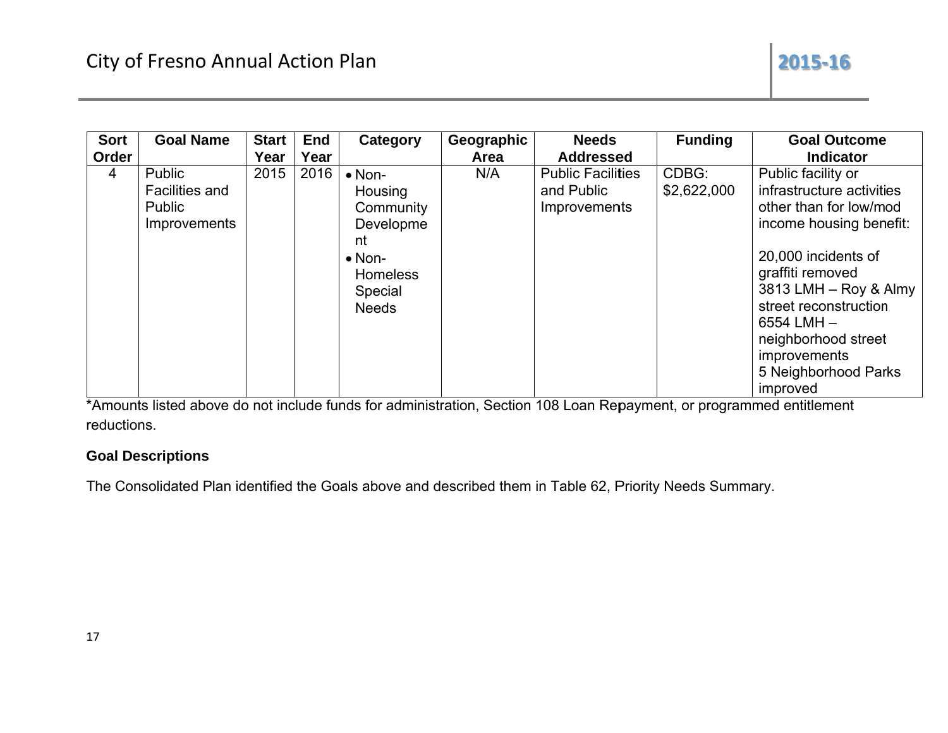| <b>Sort</b><br>Order | <b>Goal Name</b>                                                 | <b>Start</b><br>Year | <b>End</b><br>Year | Category                                                                                                                  | Geographic<br>Area | <b>Needs</b><br><b>Addressed</b>                       | <b>Funding</b>       | <b>Goal Outcome</b><br><b>Indicator</b>                                                                                                                                                                                                                                                        |
|----------------------|------------------------------------------------------------------|----------------------|--------------------|---------------------------------------------------------------------------------------------------------------------------|--------------------|--------------------------------------------------------|----------------------|------------------------------------------------------------------------------------------------------------------------------------------------------------------------------------------------------------------------------------------------------------------------------------------------|
| $\overline{4}$       | Public<br><b>Facilities and</b><br>Public<br><b>Improvements</b> | 2015                 | 2016               | $\bullet$ Non-<br>Housing<br>Community<br>Developme<br>nt<br>$\bullet$ Non-<br><b>Homeless</b><br>Special<br><b>Needs</b> | N/A                | <b>Public Facilities</b><br>and Public<br>Improvements | CDBG:<br>\$2,622,000 | Public facility or<br>infrastructure activities<br>other than for low/mod<br>income housing benefit:<br>20,000 incidents of<br>graffiti removed<br>3813 LMH - Roy & Almy<br>street reconstruction<br>$6554$ LMH $-$<br>neighborhood street<br>improvements<br>5 Neighborhood Parks<br>improved |

\*Amounts listed above do not include funds for administration, Section 108 Loan Repayment, or programmed entitlement reductions.

## **Goal Descriptions**

The Consolidated Plan identified the Goals above and described them in Table 62, Priority Needs Summary.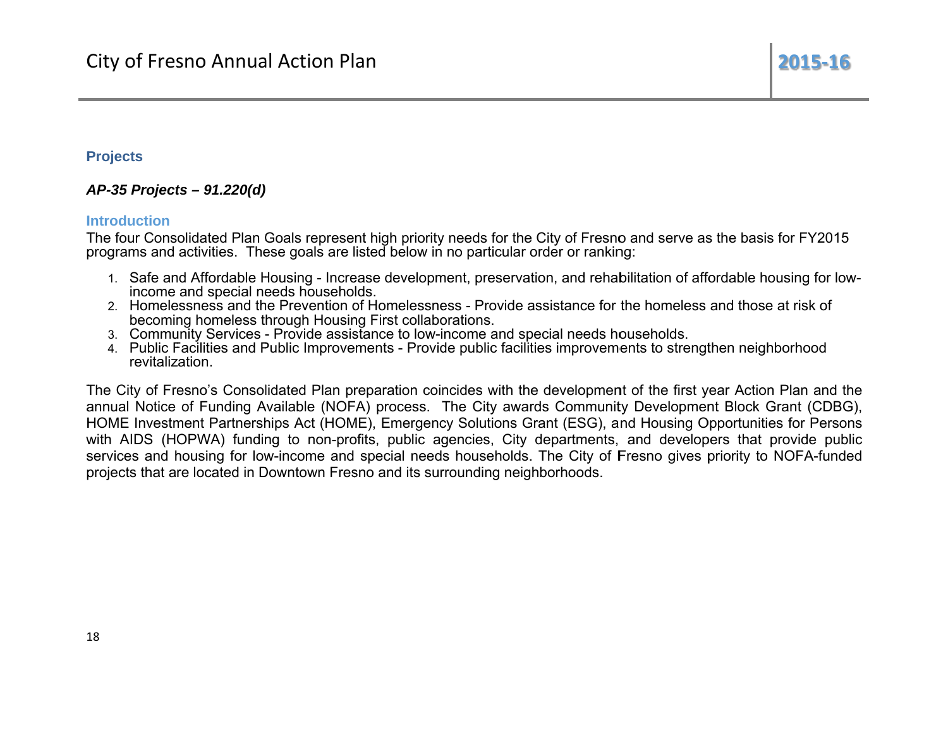## **Projects**

## AP-35 Projects - 91.220(d)

#### **Introduction**

The four Consolidated Plan Goals represent high priority needs for the City of Fresno and serve as the basis for FY2015 programs and activities. These goals are listed below in no particular order or ranking:

- 1. Safe and Affordable Housing Increase development, preservation, and rehabilitation of affordable housing for lowincome and special needs households.
- 2. Homelessness and the Prevention of Homelessness Provide assistance for the homeless and those at risk of becoming homeless through Housing First collaborations.
- 
- 3. Community Services Provide assistance to low-income and special needs households.<br>4. Public Facilities and Public Improvements Provide public facilities improvements to strengthen neighborhood revitalization

The City of Fresno's Consolidated Plan preparation coincides with the development of the first year Action Plan and the annual Notice of Funding Available (NOFA) process. The City awards Community Development Block Grant (CDBG), HOME Investment Partnerships Act (HOME), Emergency Solutions Grant (ESG), and Housing Opportunities for Persons with AIDS (HOPWA) funding to non-profits, public agencies, City departments, and developers that provide public services and housing for low-income and special needs households. The City of Fresno gives priority to NOFA-funded projects that are located in Downtown Fresno and its surrounding neighborhoods.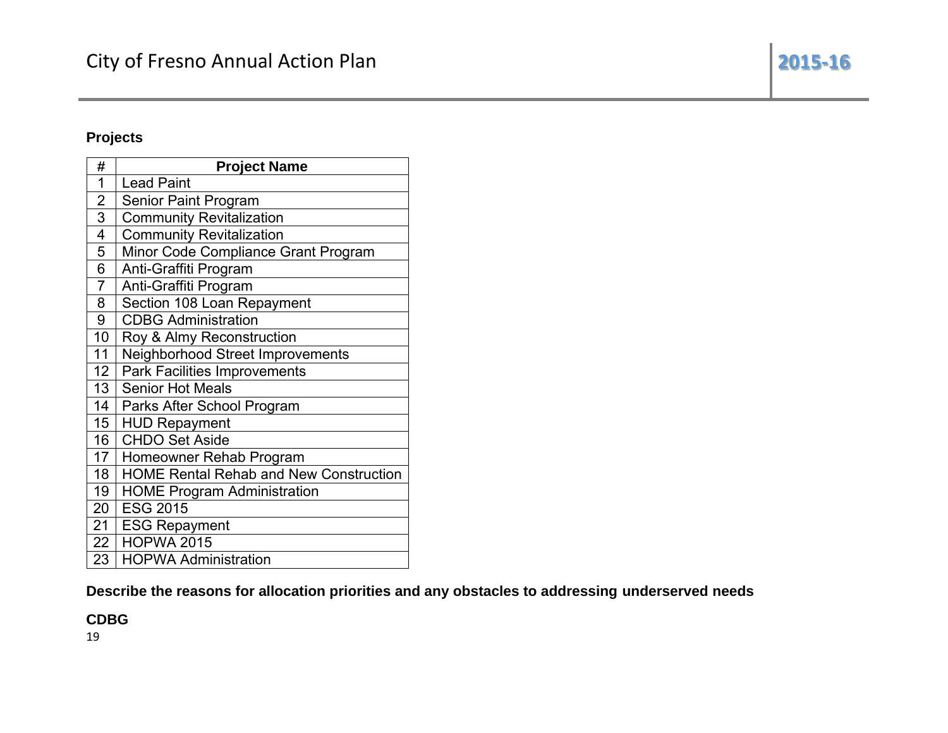## **Projects**

| #                       | <b>Project Name</b>                           |
|-------------------------|-----------------------------------------------|
| 1                       | <b>Lead Paint</b>                             |
| $\overline{2}$          | Senior Paint Program                          |
| $\overline{3}$          | <b>Community Revitalization</b>               |
| $\overline{\mathbf{4}}$ | <b>Community Revitalization</b>               |
| 5                       | Minor Code Compliance Grant Program           |
| 6                       | Anti-Graffiti Program                         |
| $\overline{7}$          | Anti-Graffiti Program                         |
| 8                       | Section 108 Loan Repayment                    |
| 9                       | <b>CDBG Administration</b>                    |
| 10                      | Roy & Almy Reconstruction                     |
| 11                      | Neighborhood Street Improvements              |
| 12 <sup>°</sup>         | <b>Park Facilities Improvements</b>           |
| 13 <sup>°</sup>         | <b>Senior Hot Meals</b>                       |
| 14                      | Parks After School Program                    |
| 15 <sub>1</sub>         | <b>HUD Repayment</b>                          |
| 16                      | <b>CHDO Set Aside</b>                         |
| 17 <sub>1</sub>         | Homeowner Rehab Program                       |
| 18                      | <b>HOME Rental Rehab and New Construction</b> |
| 19                      | <b>HOME Program Administration</b>            |
| 20                      | <b>ESG 2015</b>                               |
| 21                      | <b>ESG Repayment</b>                          |
| 22                      | <b>HOPWA 2015</b>                             |
| 23                      | <b>HOPWA Administration</b>                   |

Describe the reasons for allocation priorities and any obstacles to addressing underserved needs

**CDBG** 

19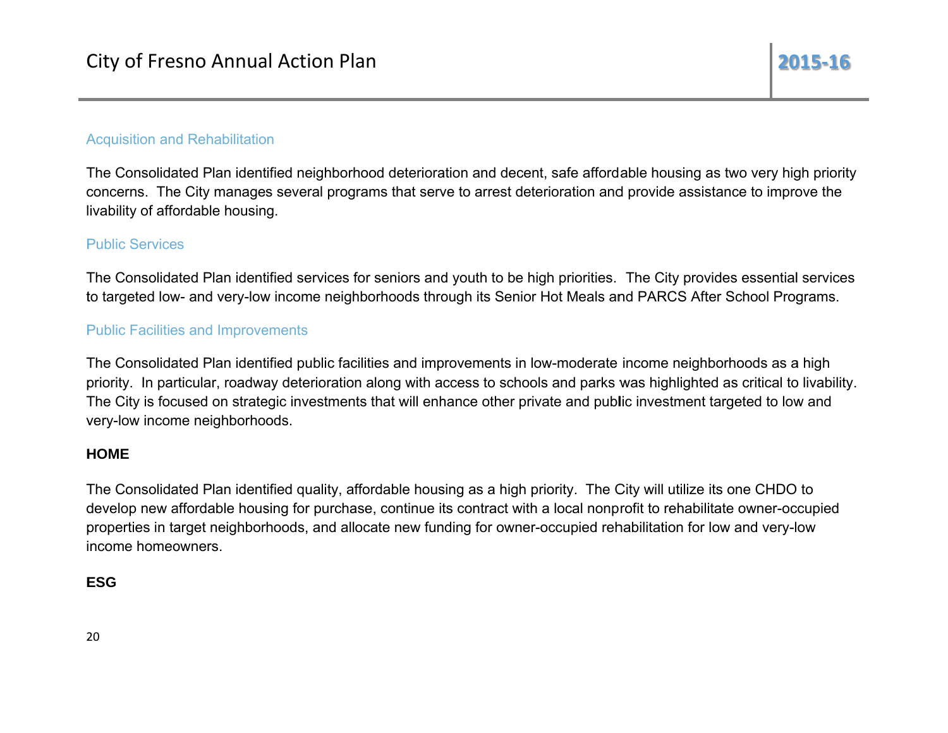## **Acquisition and Rehabilitation**

The Consolidated Plan identified neighborhood deterioration and decent, safe affordable housing as two very high priority concerns. The City manages several programs that serve to arrest deterioration and provide assistance to improve the livability of affordable housing.

## **Public Services**

The Consolidated Plan identified services for seniors and youth to be high priorities. The City provides essential services to targeted low- and very-low income neighborhoods through its Senior Hot Meals and PARCS After School Programs.

## **Public Facilities and Improvements**

The Consolidated Plan identified public facilities and improvements in low-moderate income neighborhoods as a high priority. In particular, roadway deterioration along with access to schools and parks was highlighted as critical to livability. The City is focused on strategic investments that will enhance other private and public investment targeted to low and very-low income neighborhoods.

## **HOME**

The Consolidated Plan identified quality, affordable housing as a high priority. The City will utilize its one CHDO to develop new affordable housing for purchase, continue its contract with a local nonprofit to rehabilitate owner-occupied properties in target neighborhoods, and allocate new funding for owner-occupied rehabilitation for low and very-low income homeowners.

## **ESG**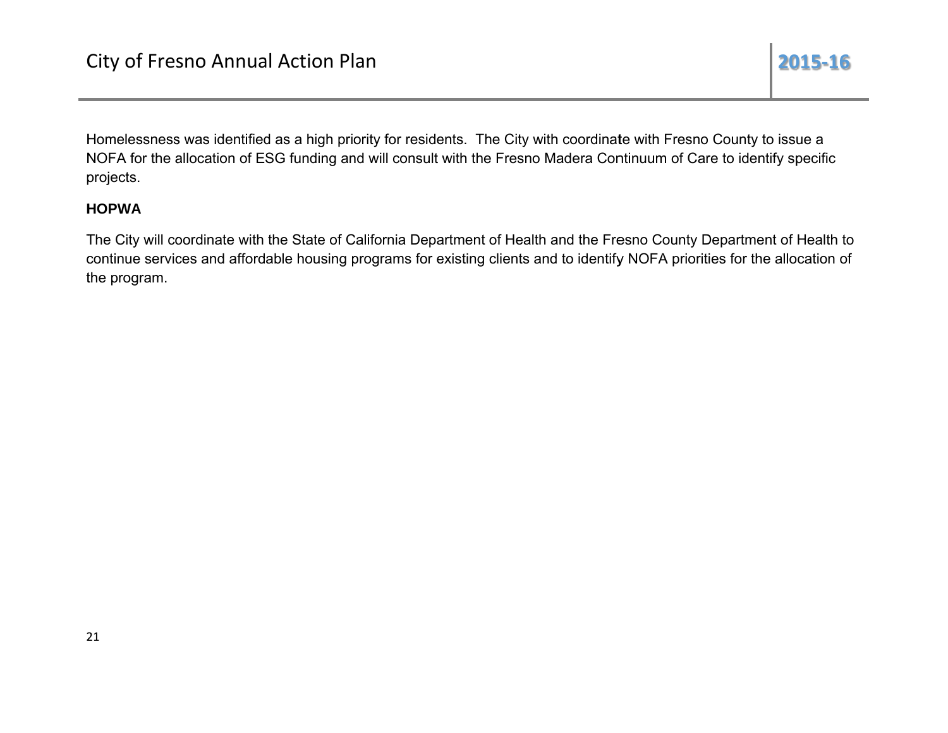Homelessness was identified as a high priority for residents. The City with coordinate with Fresno County to issue a NOFA for the allocation of ESG funding and will consult with the Fresno Madera Continuum of Care to identify specific projects.

## **HOPWA**

The City will coordinate with the State of California Department of Health and the Fresno County Department of Health to continue services and affordable housing programs for existing clients and to identify NOFA priorities for the allocation of the program.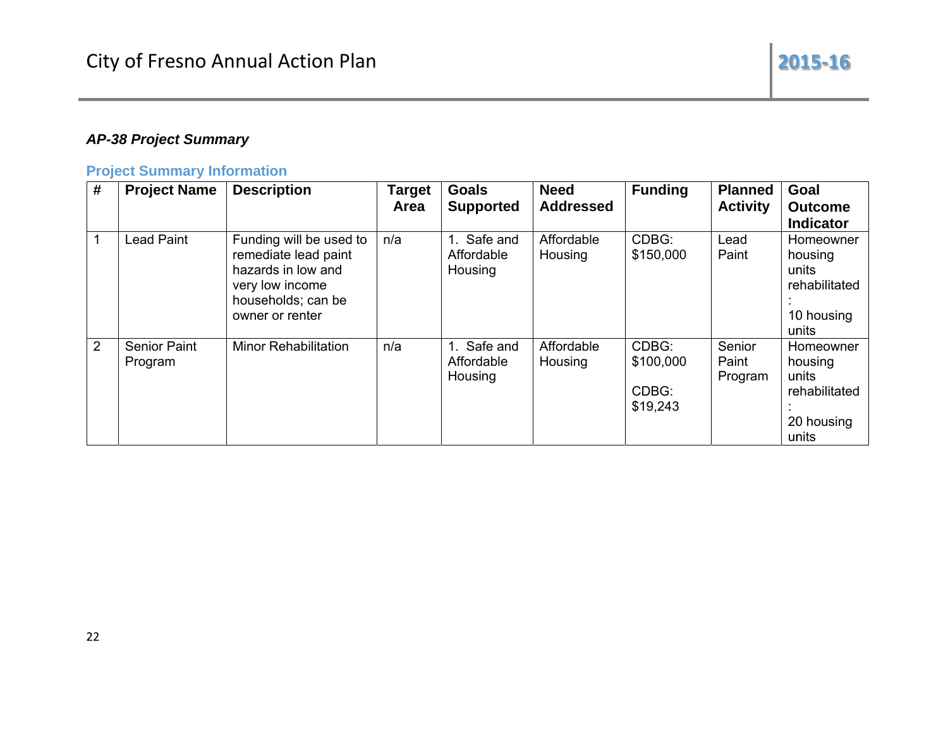## **AP-38 Project Summary**

## **Project Summary Information**

| #              | <b>Project Name</b>            | <b>Description</b>                                                                                                                | <b>Target</b><br>Area | <b>Goals</b><br><b>Supported</b>        | <b>Need</b><br><b>Addressed</b> | <b>Funding</b>                          | <b>Planned</b><br><b>Activity</b> | Goal<br><b>Outcome</b><br><b>Indicator</b>                            |
|----------------|--------------------------------|-----------------------------------------------------------------------------------------------------------------------------------|-----------------------|-----------------------------------------|---------------------------------|-----------------------------------------|-----------------------------------|-----------------------------------------------------------------------|
|                | Lead Paint                     | Funding will be used to<br>remediate lead paint<br>hazards in low and<br>very low income<br>households; can be<br>owner or renter | n/a                   | Safe and<br>1.<br>Affordable<br>Housing | Affordable<br>Housing           | CDBG:<br>\$150,000                      | Lead<br>Paint                     | Homeowner<br>housing<br>units<br>rehabilitated<br>10 housing<br>units |
| $\overline{2}$ | <b>Senior Paint</b><br>Program | <b>Minor Rehabilitation</b>                                                                                                       | n/a                   | Safe and<br>Affordable<br>Housing       | Affordable<br>Housing           | CDBG:<br>\$100,000<br>CDBG:<br>\$19,243 | Senior<br>Paint<br>Program        | Homeowner<br>housing<br>units<br>rehabilitated<br>20 housing<br>units |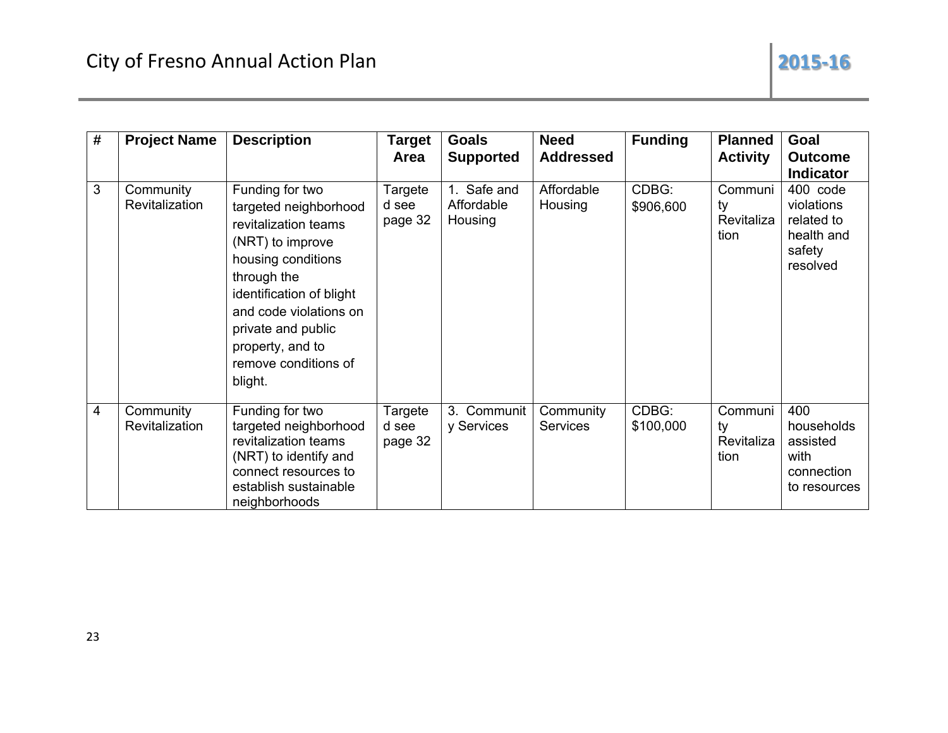| # | <b>Project Name</b>         | <b>Description</b>                                                                                                                                                                                                                                           | Target<br>Area              | <b>Goals</b><br><b>Supported</b>     | <b>Need</b><br><b>Addressed</b> | <b>Funding</b>     | <b>Planned</b><br><b>Activity</b>   | Goal<br><b>Outcome</b><br><b>Indicator</b>                               |
|---|-----------------------------|--------------------------------------------------------------------------------------------------------------------------------------------------------------------------------------------------------------------------------------------------------------|-----------------------------|--------------------------------------|---------------------------------|--------------------|-------------------------------------|--------------------------------------------------------------------------|
| 3 | Community<br>Revitalization | Funding for two<br>targeted neighborhood<br>revitalization teams<br>(NRT) to improve<br>housing conditions<br>through the<br>identification of blight<br>and code violations on<br>private and public<br>property, and to<br>remove conditions of<br>blight. | Targete<br>d see<br>page 32 | 1. Safe and<br>Affordable<br>Housing | Affordable<br>Housing           | CDBG:<br>\$906,600 | Communi<br>ty<br>Revitaliza<br>tion | 400 code<br>violations<br>related to<br>health and<br>safety<br>resolved |
| 4 | Community<br>Revitalization | Funding for two<br>targeted neighborhood<br>revitalization teams<br>(NRT) to identify and<br>connect resources to<br>establish sustainable<br>neighborhoods                                                                                                  | Targete<br>d see<br>page 32 | 3. Communit<br>y Services            | Community<br><b>Services</b>    | CDBG:<br>\$100,000 | Communi<br>ty<br>Revitaliza<br>tion | 400<br>households<br>assisted<br>with<br>connection<br>to resources      |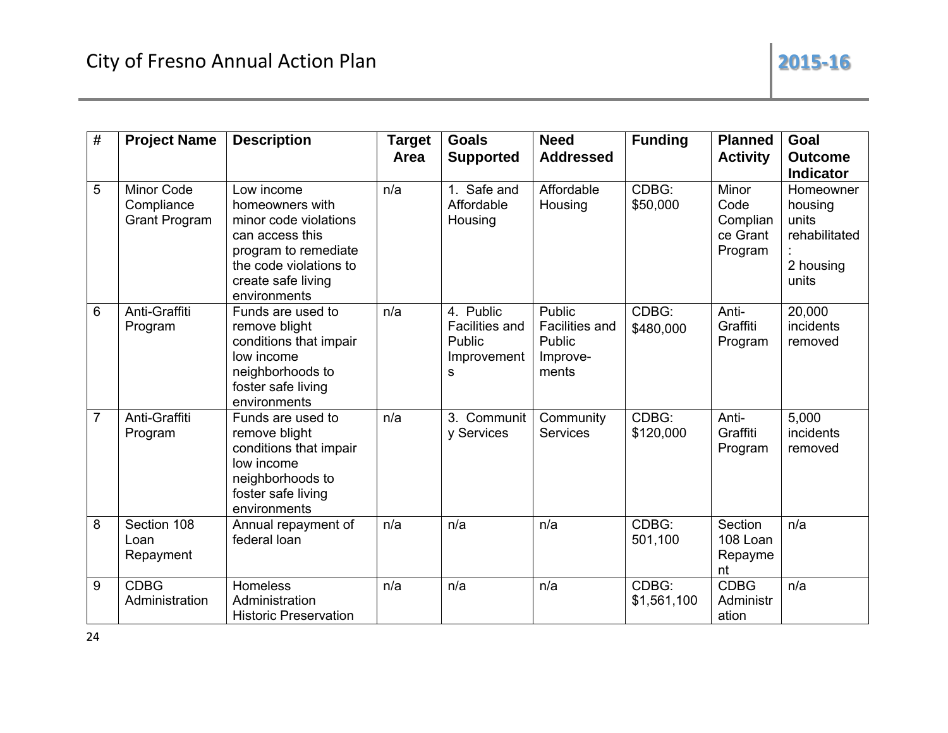| # | <b>Project Name</b>                              | <b>Description</b>                                                                                                                                                | <b>Target</b><br>Area | <b>Goals</b><br><b>Supported</b>                                 | <b>Need</b><br><b>Addressed</b>                                | <b>Funding</b>       | <b>Planned</b><br><b>Activity</b>                | Goal<br><b>Outcome</b><br><b>Indicator</b>                           |
|---|--------------------------------------------------|-------------------------------------------------------------------------------------------------------------------------------------------------------------------|-----------------------|------------------------------------------------------------------|----------------------------------------------------------------|----------------------|--------------------------------------------------|----------------------------------------------------------------------|
| 5 | Minor Code<br>Compliance<br><b>Grant Program</b> | Low income<br>homeowners with<br>minor code violations<br>can access this<br>program to remediate<br>the code violations to<br>create safe living<br>environments | n/a                   | 1. Safe and<br>Affordable<br>Housing                             | Affordable<br>Housing                                          | CDBG:<br>\$50,000    | Minor<br>Code<br>Complian<br>ce Grant<br>Program | Homeowner<br>housing<br>units<br>rehabilitated<br>2 housing<br>units |
| 6 | Anti-Graffiti<br>Program                         | Funds are used to<br>remove blight<br>conditions that impair<br>low income<br>neighborhoods to<br>foster safe living<br>environments                              | n/a                   | 4. Public<br><b>Facilities and</b><br>Public<br>Improvement<br>S | Public<br><b>Facilities and</b><br>Public<br>Improve-<br>ments | CDBG:<br>\$480,000   | Anti-<br>Graffiti<br>Program                     | 20,000<br>incidents<br>removed                                       |
| 7 | Anti-Graffiti<br>Program                         | Funds are used to<br>remove blight<br>conditions that impair<br>low income<br>neighborhoods to<br>foster safe living<br>environments                              | n/a                   | 3. Communit<br>y Services                                        | Community<br><b>Services</b>                                   | CDBG:<br>\$120,000   | Anti-<br>Graffiti<br>Program                     | 5,000<br>incidents<br>removed                                        |
| 8 | Section 108<br>Loan<br>Repayment                 | Annual repayment of<br>federal loan                                                                                                                               | n/a                   | n/a                                                              | n/a                                                            | CDBG:<br>501,100     | Section<br>108 Loan<br>Repayme<br>nt             | n/a                                                                  |
| 9 | <b>CDBG</b><br>Administration                    | Homeless<br>Administration<br><b>Historic Preservation</b>                                                                                                        | n/a                   | n/a                                                              | n/a                                                            | CDBG:<br>\$1,561,100 | CDBG<br>Administr<br>ation                       | n/a                                                                  |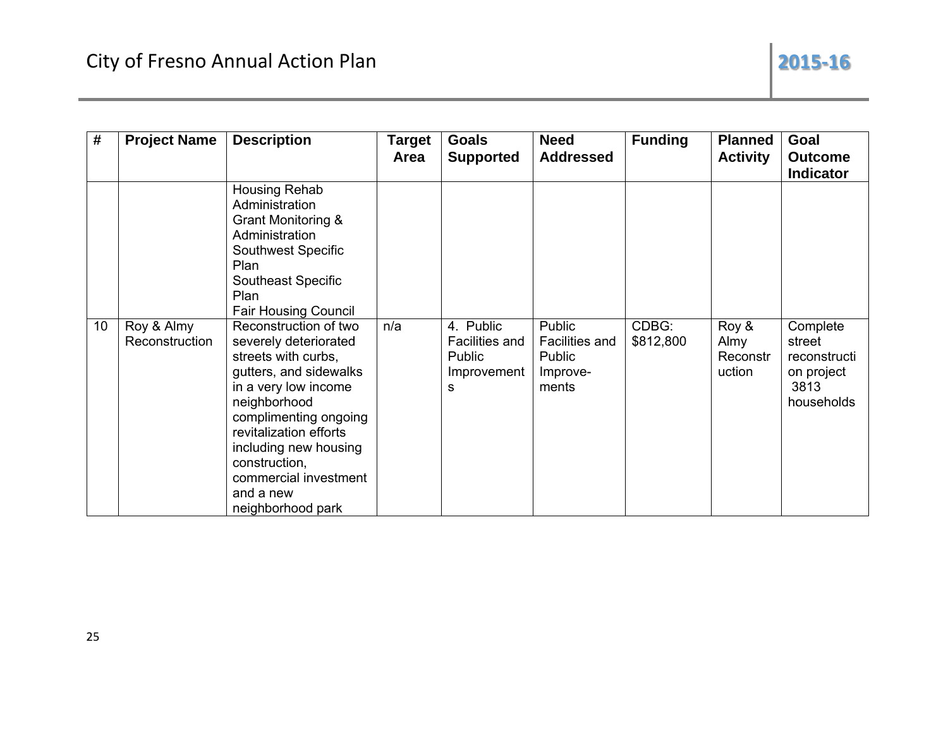| #  | <b>Project Name</b>          | <b>Description</b>                                                                                                                                                                                                                                                                              | <b>Target</b><br>Area | <b>Goals</b><br><b>Supported</b>                          | <b>Need</b><br><b>Addressed</b>                         | <b>Funding</b>     | <b>Planned</b><br><b>Activity</b>   | Goal<br><b>Outcome</b><br><b>Indicator</b>                             |
|----|------------------------------|-------------------------------------------------------------------------------------------------------------------------------------------------------------------------------------------------------------------------------------------------------------------------------------------------|-----------------------|-----------------------------------------------------------|---------------------------------------------------------|--------------------|-------------------------------------|------------------------------------------------------------------------|
|    |                              | Housing Rehab<br>Administration<br>Grant Monitoring &<br>Administration<br>Southwest Specific<br>Plan<br>Southeast Specific<br>Plan<br><b>Fair Housing Council</b>                                                                                                                              |                       |                                                           |                                                         |                    |                                     |                                                                        |
| 10 | Roy & Almy<br>Reconstruction | Reconstruction of two<br>severely deteriorated<br>streets with curbs,<br>gutters, and sidewalks<br>in a very low income<br>neighborhood<br>complimenting ongoing<br>revitalization efforts<br>including new housing<br>construction,<br>commercial investment<br>and a new<br>neighborhood park | n/a                   | 4. Public<br>Facilities and<br>Public<br>Improvement<br>s | Public<br>Facilities and<br>Public<br>Improve-<br>ments | CDBG:<br>\$812,800 | Roy &<br>Almy<br>Reconstr<br>uction | Complete<br>street<br>reconstructi<br>on project<br>3813<br>households |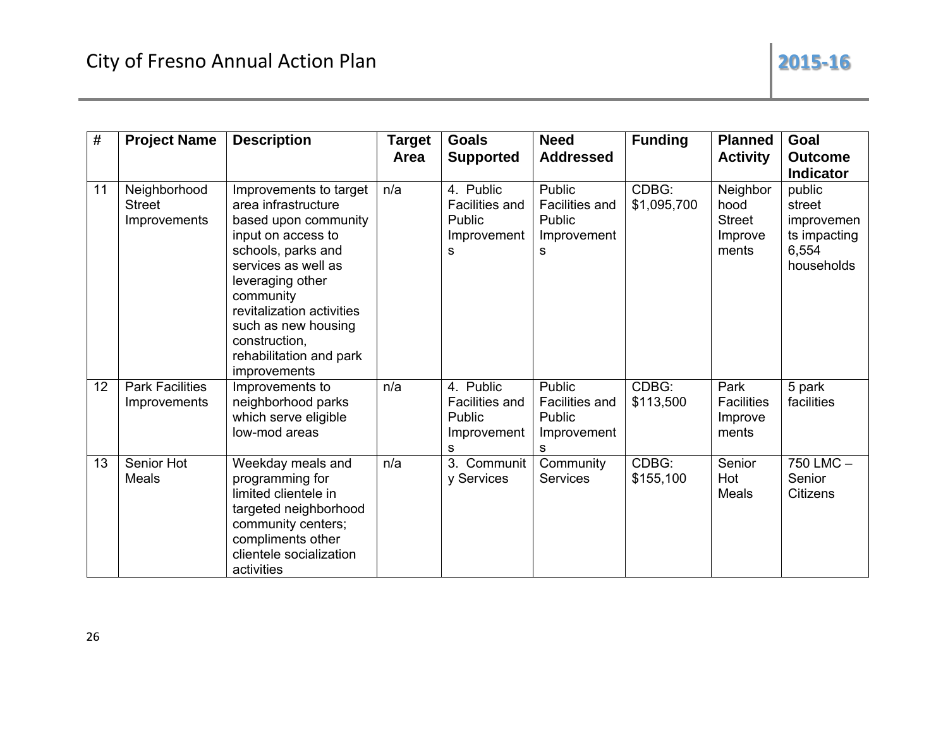| #  | <b>Project Name</b>                           | <b>Description</b>                                                                                                                                                                                                                                                                        | <b>Target</b><br>Area | <b>Goals</b><br><b>Supported</b>                                        | <b>Need</b><br><b>Addressed</b>                               | <b>Funding</b>       | <b>Planned</b><br><b>Activity</b>                     | Goal<br><b>Outcome</b><br><b>Indicator</b>                            |
|----|-----------------------------------------------|-------------------------------------------------------------------------------------------------------------------------------------------------------------------------------------------------------------------------------------------------------------------------------------------|-----------------------|-------------------------------------------------------------------------|---------------------------------------------------------------|----------------------|-------------------------------------------------------|-----------------------------------------------------------------------|
| 11 | Neighborhood<br><b>Street</b><br>Improvements | Improvements to target<br>area infrastructure<br>based upon community<br>input on access to<br>schools, parks and<br>services as well as<br>leveraging other<br>community<br>revitalization activities<br>such as new housing<br>construction,<br>rehabilitation and park<br>improvements | n/a                   | 4. Public<br><b>Facilities and</b><br><b>Public</b><br>Improvement<br>s | Public<br><b>Facilities and</b><br>Public<br>Improvement<br>s | CDBG:<br>\$1,095,700 | Neighbor<br>hood<br><b>Street</b><br>Improve<br>ments | public<br>street<br>improvemen<br>ts impacting<br>6,554<br>households |
| 12 | <b>Park Facilities</b><br>Improvements        | Improvements to<br>neighborhood parks<br>which serve eligible<br>low-mod areas                                                                                                                                                                                                            | n/a                   | 4. Public<br><b>Facilities and</b><br>Public<br>Improvement<br>s        | Public<br><b>Facilities and</b><br>Public<br>Improvement<br>s | CDBG:<br>\$113,500   | Park<br><b>Facilities</b><br>Improve<br>ments         | 5 park<br>facilities                                                  |
| 13 | Senior Hot<br><b>Meals</b>                    | Weekday meals and<br>programming for<br>limited clientele in<br>targeted neighborhood<br>community centers;<br>compliments other<br>clientele socialization<br>activities                                                                                                                 | n/a                   | 3.<br>Communit<br>y Services                                            | Community<br>Services                                         | CDBG:<br>\$155,100   | Senior<br>Hot<br>Meals                                | 750 LMC -<br>Senior<br>Citizens                                       |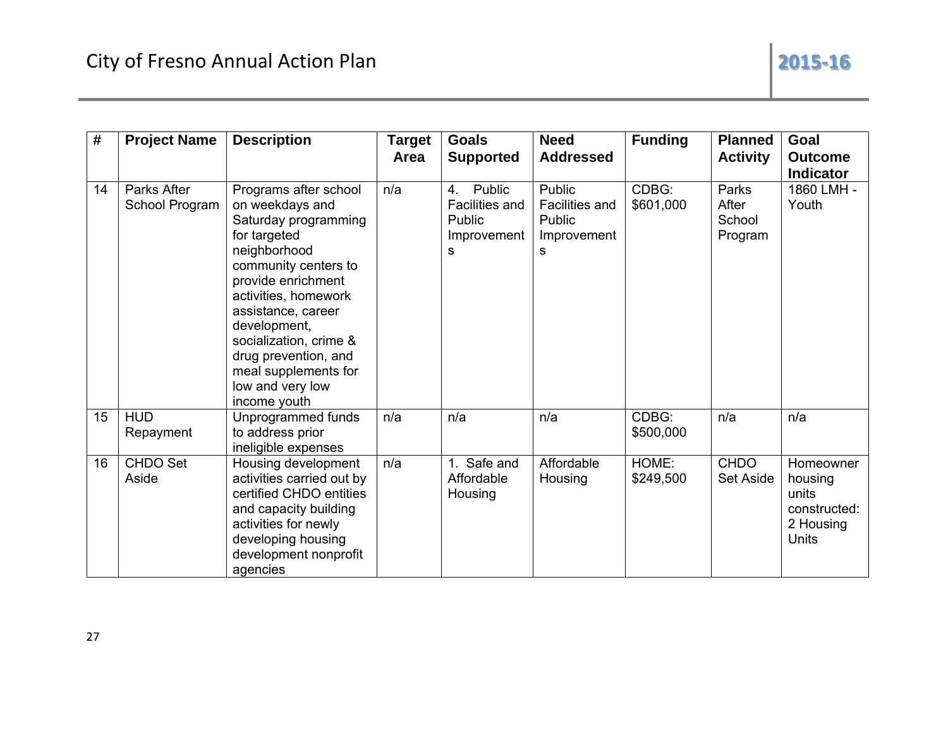2015-16

| $\#$ | <b>Project Name</b>           | <b>Description</b>                                                                                                                                                                                                                                                                                                         | <b>Target</b><br>Area | <b>Goals</b><br><b>Supported</b>                                           | <b>Need</b><br><b>Addressed</b>                               | <b>Funding</b>     | <b>Planned</b><br><b>Activity</b>   | Goal<br><b>Outcome</b><br><b>Indicator</b>                                 |
|------|-------------------------------|----------------------------------------------------------------------------------------------------------------------------------------------------------------------------------------------------------------------------------------------------------------------------------------------------------------------------|-----------------------|----------------------------------------------------------------------------|---------------------------------------------------------------|--------------------|-------------------------------------|----------------------------------------------------------------------------|
| 14   | Parks After<br>School Program | Programs after school<br>on weekdays and<br>Saturday programming<br>for targeted<br>neighborhood<br>community centers to<br>provide enrichment<br>activities, homework<br>assistance, career<br>development,<br>socialization, crime &<br>drug prevention, and<br>meal supplements for<br>low and very low<br>income youth | n/a                   | Public<br>4.<br><b>Facilities and</b><br><b>Public</b><br>Improvement<br>s | Public<br><b>Facilities and</b><br>Public<br>Improvement<br>S | CDBG:<br>\$601,000 | Parks<br>After<br>School<br>Program | 1860 LMH -<br>Youth                                                        |
| 15   | <b>HUD</b><br>Repayment       | Unprogrammed funds<br>to address prior<br>ineligible expenses                                                                                                                                                                                                                                                              | n/a                   | n/a                                                                        | n/a                                                           | CDBG:<br>\$500,000 | n/a                                 | n/a                                                                        |
| 16   | <b>CHDO Set</b><br>Aside      | Housing development<br>activities carried out by<br>certified CHDO entities<br>and capacity building<br>activities for newly<br>developing housing<br>development nonprofit<br>agencies                                                                                                                                    | n/a                   | 1. Safe and<br>Affordable<br>Housing                                       | Affordable<br>Housing                                         | HOME:<br>\$249,500 | <b>CHDO</b><br><b>Set Aside</b>     | Homeowner<br>housing<br>units<br>constructed:<br>2 Housing<br><b>Units</b> |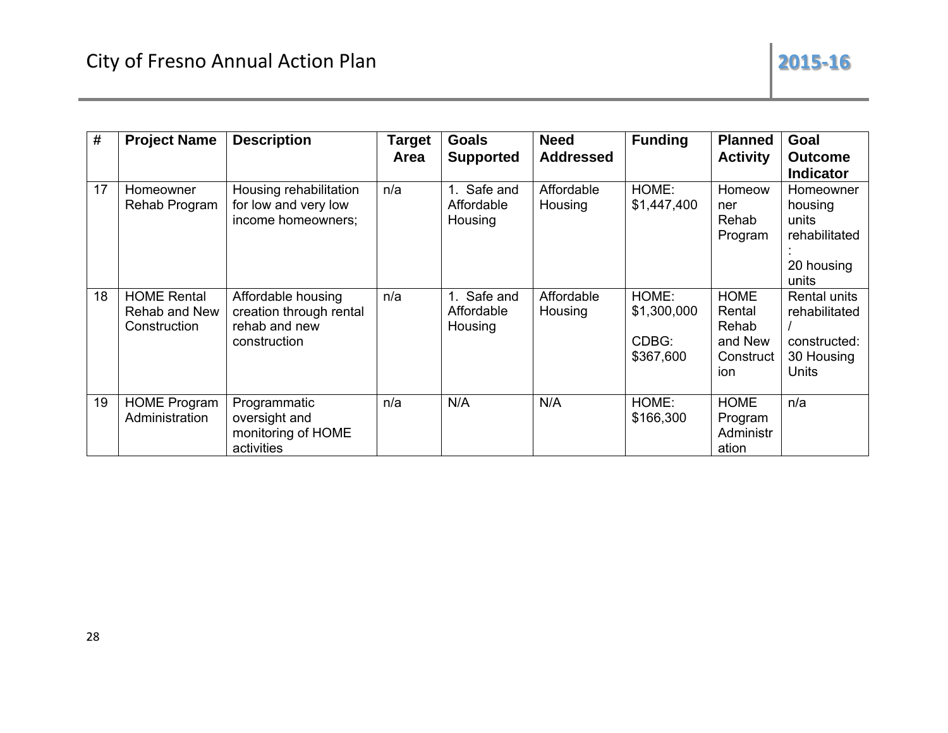| #  | <b>Project Name</b>                                 | <b>Description</b>                                                             | <b>Target</b><br><b>Area</b> | <b>Goals</b><br><b>Supported</b>        | <b>Need</b><br><b>Addressed</b> | <b>Funding</b>                             | <b>Planned</b><br><b>Activity</b>                              | Goal<br><b>Outcome</b><br><b>Indicator</b>                            |
|----|-----------------------------------------------------|--------------------------------------------------------------------------------|------------------------------|-----------------------------------------|---------------------------------|--------------------------------------------|----------------------------------------------------------------|-----------------------------------------------------------------------|
| 17 | Homeowner<br>Rehab Program                          | Housing rehabilitation<br>for low and very low<br>income homeowners;           | n/a                          | Safe and<br>1.<br>Affordable<br>Housing | Affordable<br>Housing           | HOME:<br>\$1,447,400                       | Homeow<br>ner<br>Rehab<br>Program                              | Homeowner<br>housing<br>units<br>rehabilitated<br>20 housing<br>units |
| 18 | <b>HOME Rental</b><br>Rehab and New<br>Construction | Affordable housing<br>creation through rental<br>rehab and new<br>construction | n/a                          | Safe and<br>1.<br>Affordable<br>Housing | Affordable<br>Housing           | HOME:<br>\$1,300,000<br>CDBG:<br>\$367,600 | <b>HOME</b><br>Rental<br>Rehab<br>and New<br>Construct<br>ion. | Rental units<br>rehabilitated<br>constructed:<br>30 Housing<br>Units  |
| 19 | <b>HOME Program</b><br>Administration               | Programmatic<br>oversight and<br>monitoring of HOME<br>activities              | n/a                          | N/A                                     | N/A                             | HOME:<br>\$166,300                         | <b>HOME</b><br>Program<br>Administr<br>ation                   | n/a                                                                   |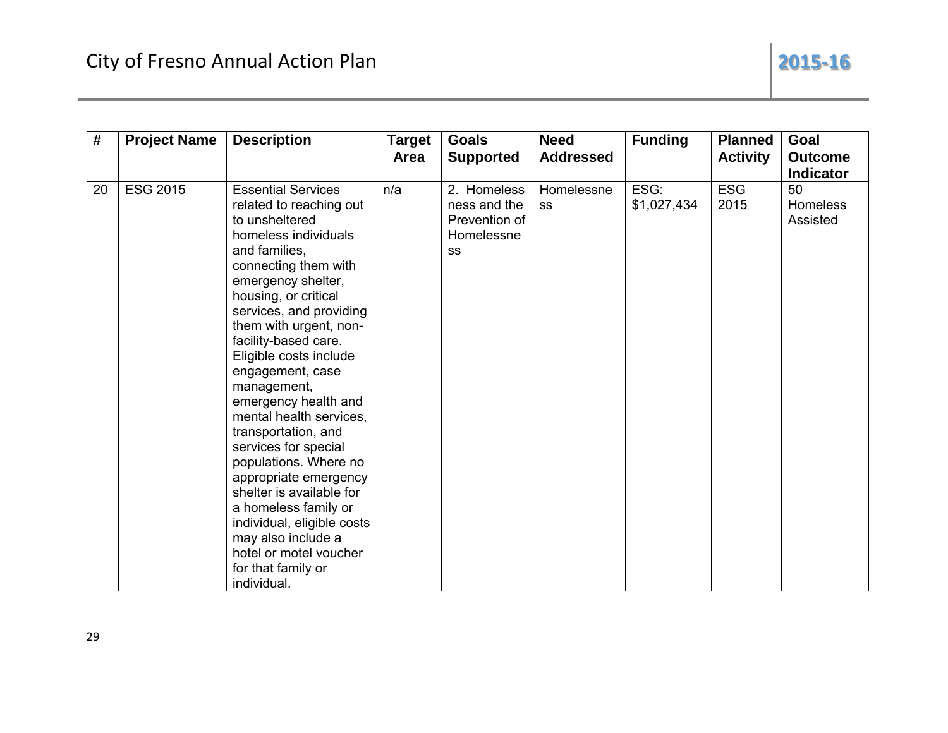| #  | <b>Project Name</b> | <b>Description</b>                                                                                                                                                                                                                                                                                                                                                                                                                                                                                                                                                                                                                                         | Target<br>Area | <b>Goals</b><br><b>Supported</b>                                 | <b>Need</b><br><b>Addressed</b> | <b>Funding</b>      | <b>Planned</b><br><b>Activity</b> | Goal<br><b>Outcome</b><br><b>Indicator</b> |
|----|---------------------|------------------------------------------------------------------------------------------------------------------------------------------------------------------------------------------------------------------------------------------------------------------------------------------------------------------------------------------------------------------------------------------------------------------------------------------------------------------------------------------------------------------------------------------------------------------------------------------------------------------------------------------------------------|----------------|------------------------------------------------------------------|---------------------------------|---------------------|-----------------------------------|--------------------------------------------|
| 20 | <b>ESG 2015</b>     | <b>Essential Services</b><br>related to reaching out<br>to unsheltered<br>homeless individuals<br>and families,<br>connecting them with<br>emergency shelter,<br>housing, or critical<br>services, and providing<br>them with urgent, non-<br>facility-based care.<br>Eligible costs include<br>engagement, case<br>management,<br>emergency health and<br>mental health services,<br>transportation, and<br>services for special<br>populations. Where no<br>appropriate emergency<br>shelter is available for<br>a homeless family or<br>individual, eligible costs<br>may also include a<br>hotel or motel voucher<br>for that family or<br>individual. | n/a            | 2. Homeless<br>ness and the<br>Prevention of<br>Homelessne<br>SS | Homelessne<br><b>SS</b>         | ESG:<br>\$1,027,434 | <b>ESG</b><br>2015                | 50<br><b>Homeless</b><br>Assisted          |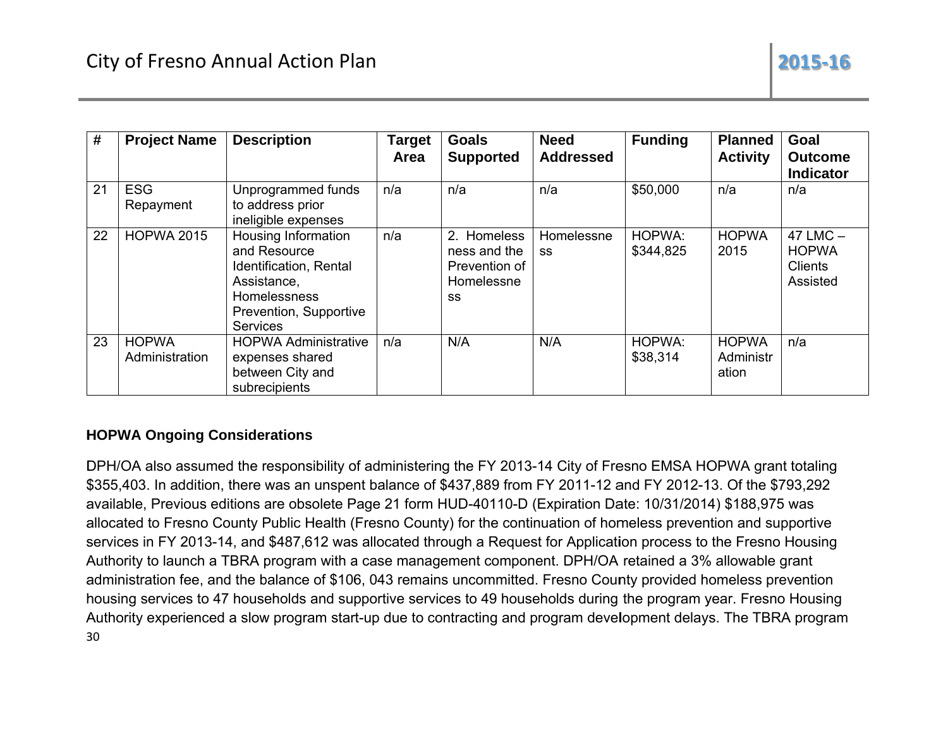| #  | <b>Project Name</b>            | <b>Description</b>                                                                                                                        | <b>Target</b><br>Area | <b>Goals</b><br><b>Supported</b>                                                | <b>Need</b><br><b>Addressed</b> | <b>Funding</b>      | <b>Planned</b><br><b>Activity</b>  | Goal<br><b>Outcome</b><br><b>Indicator</b>                 |
|----|--------------------------------|-------------------------------------------------------------------------------------------------------------------------------------------|-----------------------|---------------------------------------------------------------------------------|---------------------------------|---------------------|------------------------------------|------------------------------------------------------------|
| 21 | <b>ESG</b><br>Repayment        | Unprogrammed funds<br>to address prior<br>ineligible expenses                                                                             | n/a                   | n/a                                                                             | n/a                             | \$50,000            | n/a                                | n/a                                                        |
| 22 | <b>HOPWA 2015</b>              | Housing Information<br>and Resource<br>Identification, Rental<br>Assistance,<br>Homelessness<br>Prevention, Supportive<br><b>Services</b> | n/a                   | Homeless<br>2 <sub>1</sub><br>ness and the<br>Prevention of<br>Homelessne<br>SS | Homelessne<br>SS                | HOPWA:<br>\$344,825 | <b>HOPWA</b><br>2015               | $47$ LMC $-$<br><b>HOPWA</b><br><b>Clients</b><br>Assisted |
| 23 | <b>HOPWA</b><br>Administration | <b>HOPWA Administrative</b><br>expenses shared<br>between City and<br>subrecipients                                                       | n/a                   | N/A                                                                             | N/A                             | HOPWA:<br>\$38,314  | <b>HOPWA</b><br>Administr<br>ation | n/a                                                        |

## **HOPWA Ongoing Considerations**

DPH/OA also assumed the responsibility of administering the FY 2013-14 City of Fresno EMSA HOPWA grant totaling \$355,403. In addition, there was an unspent balance of \$437,889 from FY 2011-12 and FY 2012-13. Of the \$793,292 available, Previous editions are obsolete Page 21 form HUD-40110-D (Expiration Date: 10/31/2014) \$188,975 was allocated to Fresno County Public Health (Fresno County) for the continuation of homeless prevention and supportive services in FY 2013-14, and \$487,612 was allocated through a Request for Application process to the Fresno Housing Authority to launch a TBRA program with a case management component. DPH/OA retained a 3% allowable grant administration fee, and the balance of \$106, 043 remains uncommitted. Fresno County provided homeless prevention housing services to 47 households and supportive services to 49 households during the program year. Fresno Housing Authority experienced a slow program start-up due to contracting and program development delays. The TBRA program 30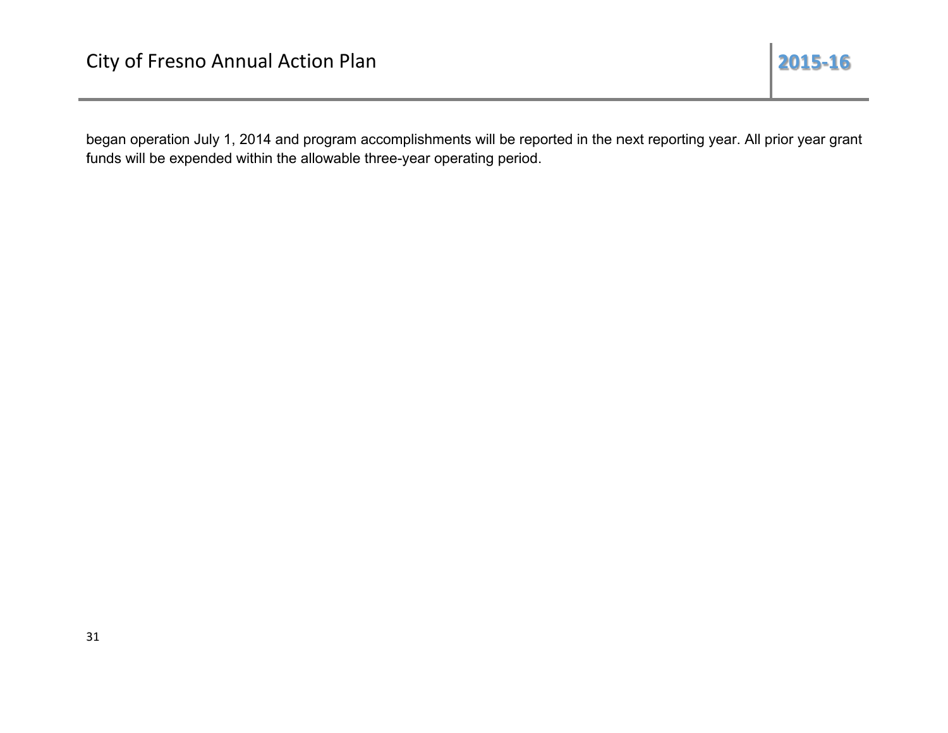began operation July 1, 2014 and program accomplishments will be reported in the next reporting year. All prior year grant funds will be expended within the allowable three-year operating period.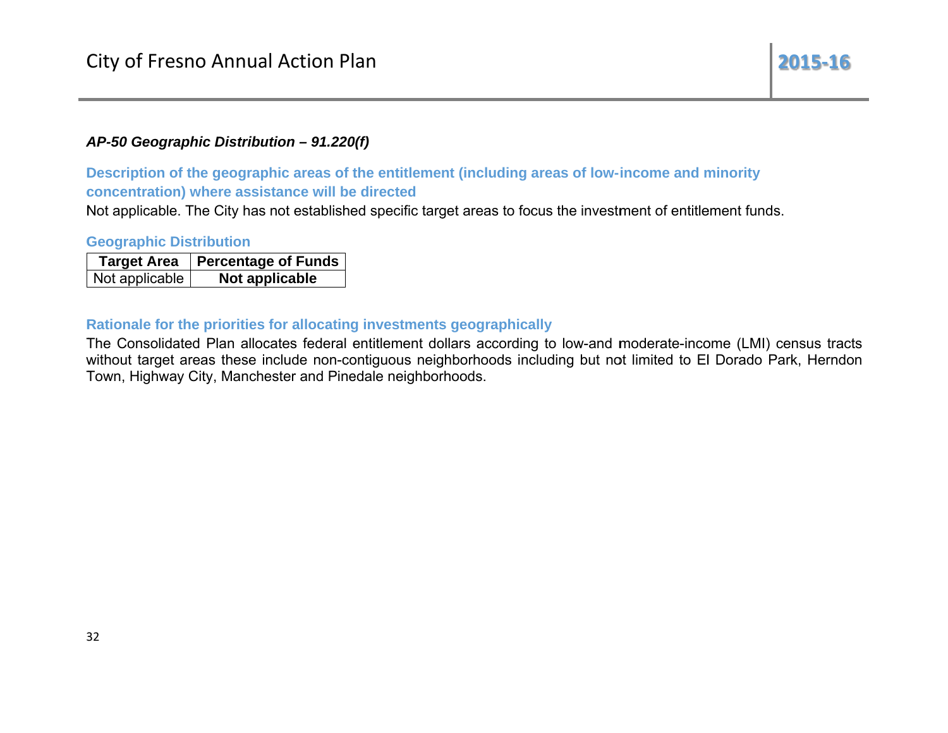## AP-50 Geographic Distribution - 91.220(f)

Description of the geographic areas of the entitlement (including areas of low-income and minority concentration) where assistance will be directed

Not applicable. The City has not established specific target areas to focus the investment of entitlement funds.

#### **Geographic Distribution**

| <b>Target Area</b> | <b>Percentage of Funds</b> |
|--------------------|----------------------------|
| Not applicable     | Not applicable             |

#### Rationale for the priorities for allocating investments geographically

The Consolidated Plan allocates federal entitlement dollars according to low-and moderate-income (LMI) census tracts without target areas these include non-contiguous neighborhoods including but not limited to El Dorado Park, Herndon Town, Highway City, Manchester and Pinedale neighborhoods.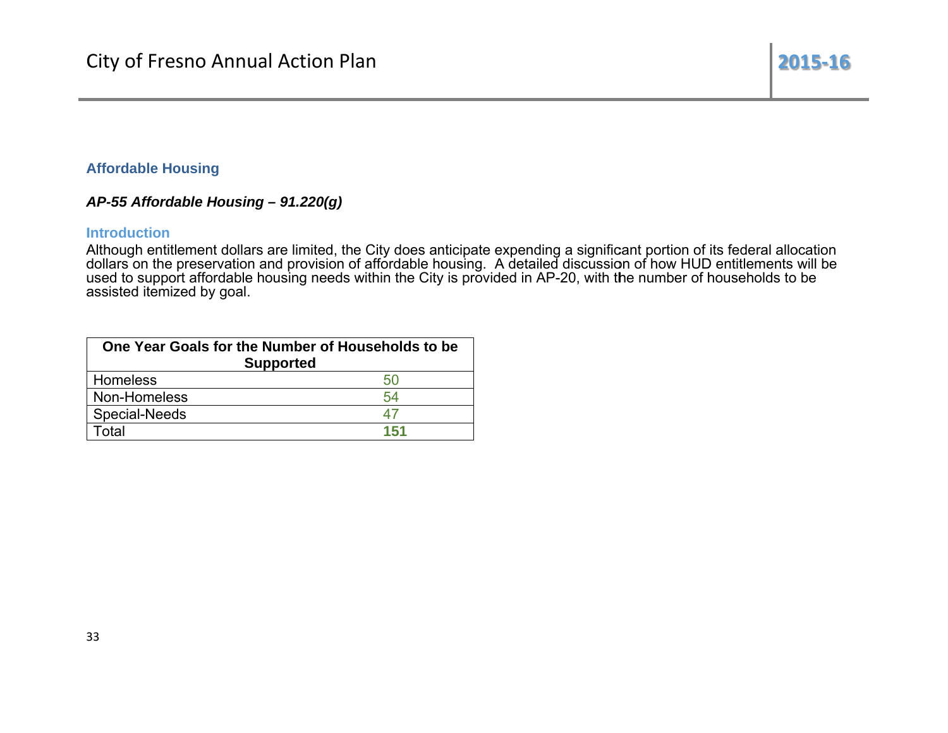#### **Affordable Housing**

## AP-55 Affordable Housing -  $91.220(g)$

#### **Introduction**

Although entitlement dollars are limited, the City does anticipate expending a significant portion of its federal allocation dollars on the preservation and provision of affordable housing. A detailed discussion of how HUD assisted itemized by goal.

| One Year Goals for the Number of Households to be<br><b>Supported</b> |     |  |
|-----------------------------------------------------------------------|-----|--|
|                                                                       |     |  |
| Homeless                                                              | 50  |  |
| Non-Homeless                                                          | 54  |  |
| <b>Special-Needs</b>                                                  | 47  |  |
| Total                                                                 | 151 |  |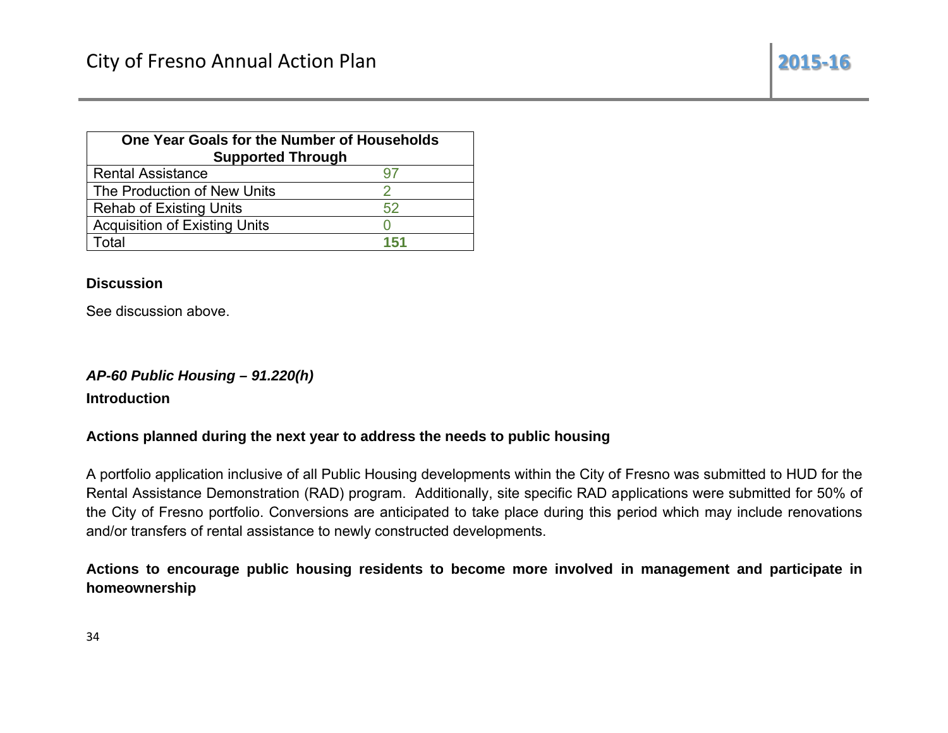| One Year Goals for the Number of Households<br><b>Supported Through</b> |     |  |
|-------------------------------------------------------------------------|-----|--|
| <b>Rental Assistance</b>                                                | 97  |  |
| The Production of New Units                                             |     |  |
| <b>Rehab of Existing Units</b>                                          | 52  |  |
| <b>Acquisition of Existing Units</b>                                    |     |  |
| Total                                                                   | 151 |  |

## **Discussion**

See discussion above.

## AP-60 Public Housing - 91.220(h)

**Introduction** 

## Actions planned during the next year to address the needs to public housing

A portfolio application inclusive of all Public Housing developments within the City of Fresno was submitted to HUD for the Rental Assistance Demonstration (RAD) program. Additionally, site specific RAD applications were submitted for 50% of the City of Fresno portfolio. Conversions are anticipated to take place during this period which may include renovations and/or transfers of rental assistance to newly constructed developments.

Actions to encourage public housing residents to become more involved in management and participate in homeownership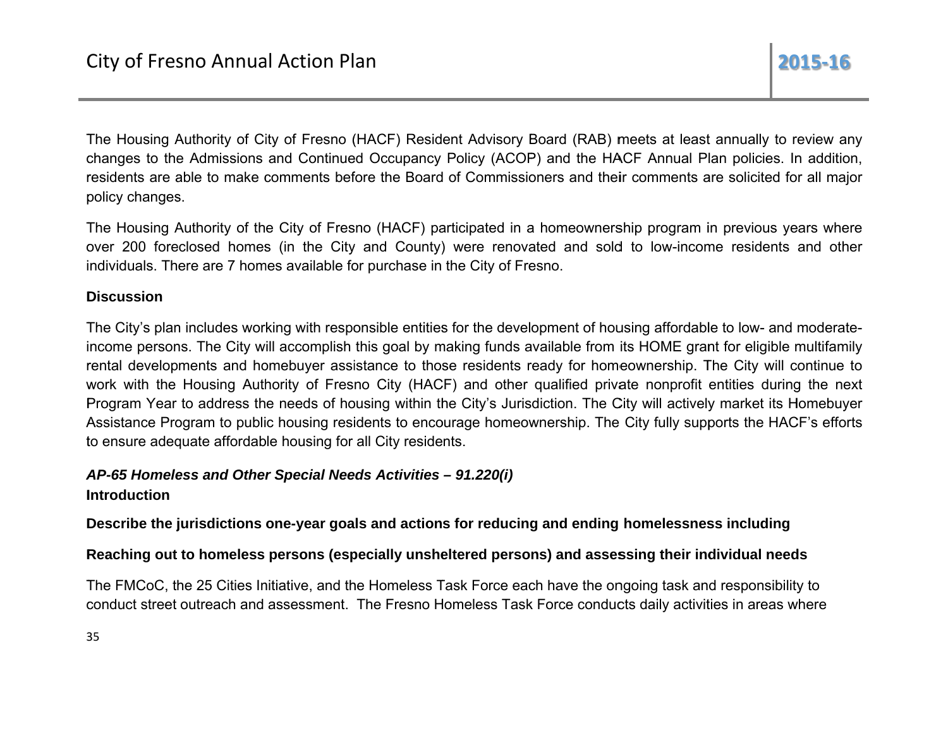The Housing Authority of City of Fresno (HACF) Resident Advisory Board (RAB) meets at least annually to review any changes to the Admissions and Continued Occupancy Policy (ACOP) and the HACF Annual Plan policies. In addition, residents are able to make comments before the Board of Commissioners and their comments are solicited for all major policy changes.

The Housing Authority of the City of Fresno (HACF) participated in a homeownership program in previous years where over 200 foreclosed homes (in the City and County) were renovated and sold to low-income residents and other individuals. There are 7 homes available for purchase in the City of Fresno.

## **Discussion**

The City's plan includes working with responsible entities for the development of housing affordable to low- and moderateincome persons. The City will accomplish this goal by making funds available from its HOME grant for eligible multifamily rental developments and homebuyer assistance to those residents ready for homeownership. The City will continue to work with the Housing Authority of Fresno City (HACF) and other qualified private nonprofit entities during the next Program Year to address the needs of housing within the City's Jurisdiction. The City will actively market its Homebuyer Assistance Program to public housing residents to encourage homeownership. The City fully supports the HACF's efforts to ensure adequate affordable housing for all City residents.

## AP-65 Homeless and Other Special Needs Activities - 91.220(i) **Introduction**

## Describe the jurisdictions one-year goals and actions for reducing and ending homelessness including

## Reaching out to homeless persons (especially unsheltered persons) and assessing their individual needs

The FMCoC, the 25 Cities Initiative, and the Homeless Task Force each have the ongoing task and responsibility to conduct street outreach and assessment. The Fresno Homeless Task Force conducts daily activities in areas where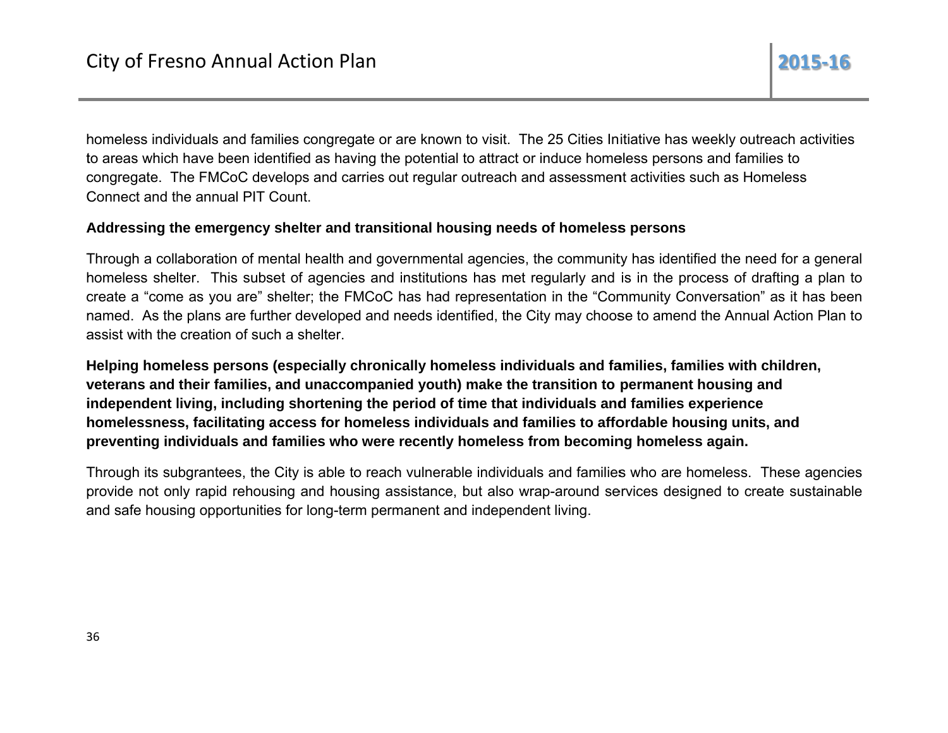homeless individuals and families congregate or are known to visit. The 25 Cities Initiative has weekly outreach activities to areas which have been identified as having the potential to attract or induce homeless persons and families to congregate. The FMCoC develops and carries out regular outreach and assessment activities such as Homeless Connect and the annual PIT Count.

## Addressing the emergency shelter and transitional housing needs of homeless persons

Through a collaboration of mental health and governmental agencies, the community has identified the need for a general homeless shelter. This subset of agencies and institutions has met regularly and is in the process of drafting a plan to create a "come as you are" shelter; the FMCoC has had representation in the "Community Conversation" as it has been named. As the plans are further developed and needs identified, the City may choose to amend the Annual Action Plan to assist with the creation of such a shelter.

Helping homeless persons (especially chronically homeless individuals and families, families with children, veterans and their families, and unaccompanied youth) make the transition to permanent housing and independent living, including shortening the period of time that individuals and families experience homelessness, facilitating access for homeless individuals and families to affordable housing units, and preventing individuals and families who were recently homeless from becoming homeless again.

Through its subgrantees, the City is able to reach vulnerable individuals and families who are homeless. These agencies provide not only rapid rehousing and housing assistance, but also wrap-around services designed to create sustainable and safe housing opportunities for long-term permanent and independent living.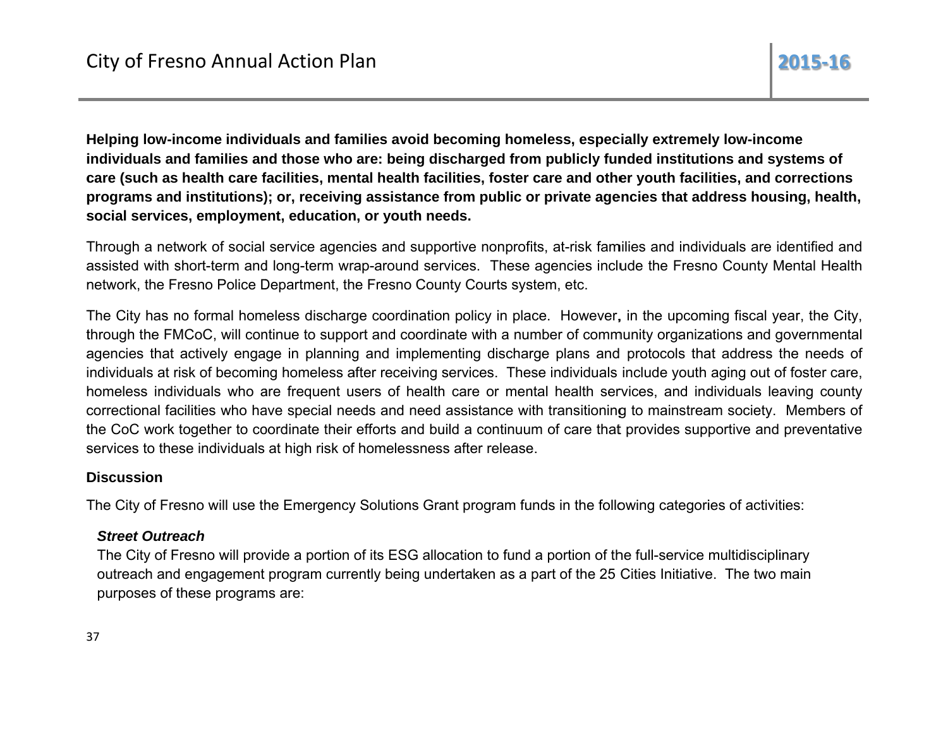Helping low-income individuals and families avoid becoming homeless, especially extremely low-income individuals and families and those who are: being discharged from publicly funded institutions and systems of care (such as health care facilities, mental health facilities, foster care and other youth facilities, and corrections programs and institutions); or, receiving assistance from public or private agencies that address housing, health, social services, employment, education, or youth needs.

Through a network of social service agencies and supportive nonprofits, at-risk families and individuals are identified and assisted with short-term and long-term wrap-around services. These agencies include the Fresno County Mental Health network, the Fresno Police Department, the Fresno County Courts system, etc.

The City has no formal homeless discharge coordination policy in place. However, in the upcoming fiscal year, the City, through the FMCoC, will continue to support and coordinate with a number of community organizations and governmental agencies that actively engage in planning and implementing discharge plans and protocols that address the needs of individuals at risk of becoming homeless after receiving services. These individuals include youth aging out of foster care, homeless individuals who are frequent users of health care or mental health services, and individuals leaving county correctional facilities who have special needs and need assistance with transitioning to mainstream society. Members of the CoC work together to coordinate their efforts and build a continuum of care that provides supportive and preventative services to these individuals at high risk of homelessness after release.

## **Discussion**

The City of Fresno will use the Emergency Solutions Grant program funds in the following categories of activities:

## **Street Outreach**

The City of Fresno will provide a portion of its ESG allocation to fund a portion of the full-service multidisciplinary outreach and engagement program currently being undertaken as a part of the 25 Cities Initiative. The two main purposes of these programs are: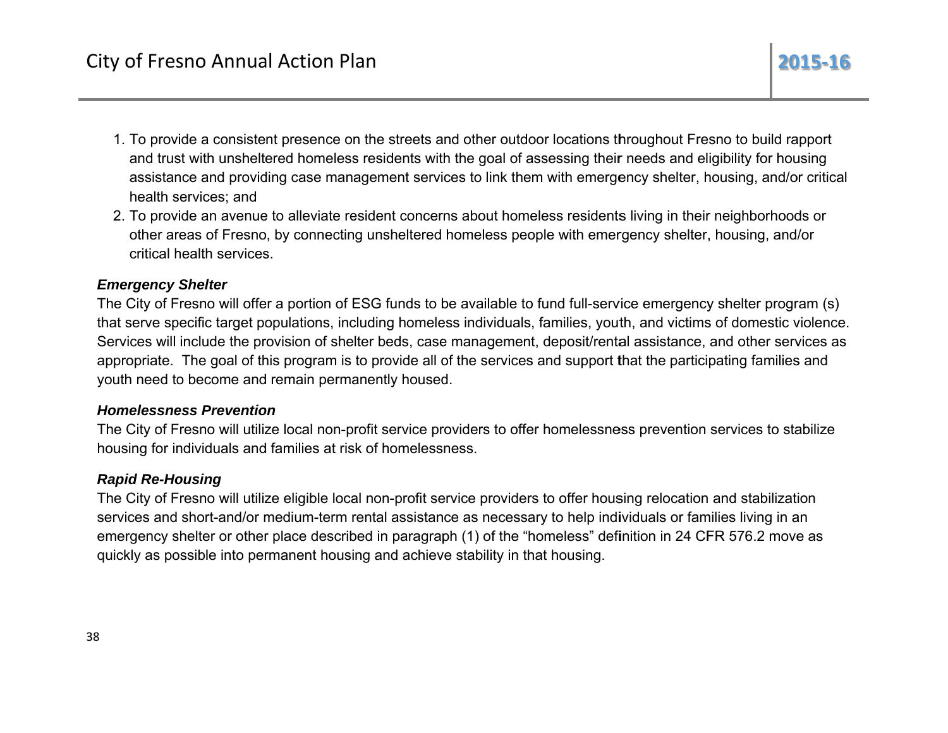- 1. To provide a consistent presence on the streets and other outdoor locations throughout Fresno to build rapport and trust with unsheltered homeless residents with the goal of assessing their needs and eligibility for housing assistance and providing case management services to link them with emergency shelter, housing, and/or critical health services; and
- 2. To provide an avenue to alleviate resident concerns about homeless residents living in their neighborhoods or other areas of Fresno, by connecting unsheltered homeless people with emergency shelter, housing, and/or critical health services.

## **Emergency Shelter**

The City of Fresno will offer a portion of ESG funds to be available to fund full-service emergency shelter program (s) that serve specific target populations, including homeless individuals, families, youth, and victims of domestic violence. Services will include the provision of shelter beds, case management, deposit/rental assistance, and other services as appropriate. The goal of this program is to provide all of the services and support that the participating families and youth need to become and remain permanently housed.

## **Homelessness Prevention**

The City of Fresno will utilize local non-profit service providers to offer homelessness prevention services to stabilize housing for individuals and families at risk of homelessness.

## **Rapid Re-Housing**

The City of Fresno will utilize eligible local non-profit service providers to offer housing relocation and stabilization services and short-and/or medium-term rental assistance as necessary to help individuals or families living in an emergency shelter or other place described in paragraph (1) of the "homeless" definition in 24 CFR 576.2 move as quickly as possible into permanent housing and achieve stability in that housing.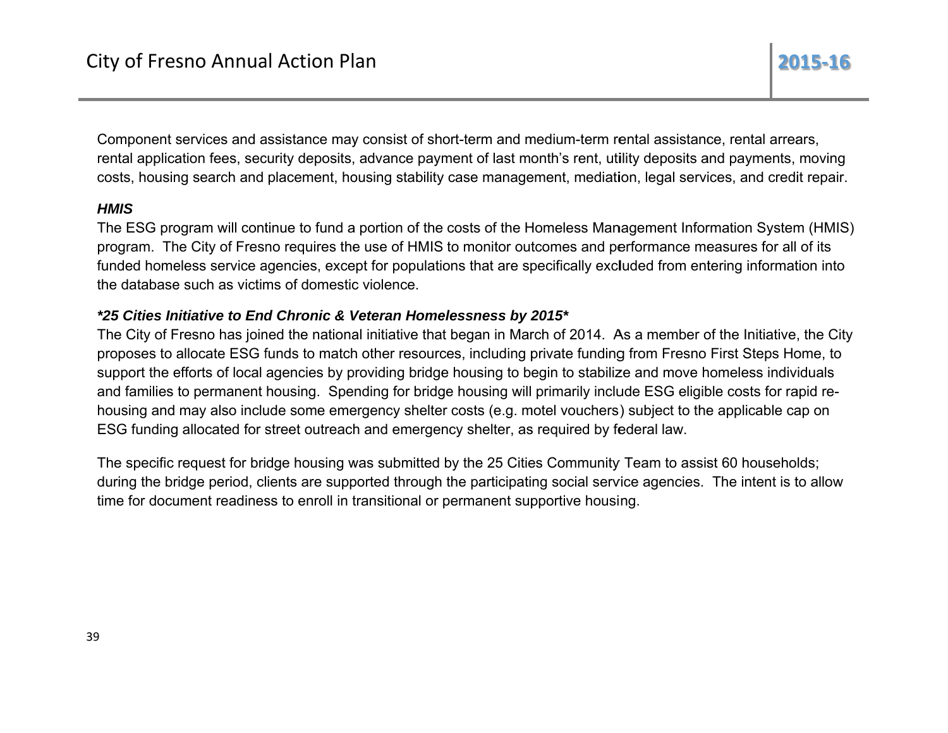Component services and assistance may consist of short-term and medium-term rental assistance, rental arrears, rental application fees, security deposits, advance payment of last month's rent, utility deposits and payments, moving costs, housing search and placement, housing stability case management, mediation, legal services, and credit repair.

## **HMIS**

The ESG program will continue to fund a portion of the costs of the Homeless Management Information System (HMIS) program. The City of Fresno requires the use of HMIS to monitor outcomes and performance measures for all of its funded homeless service agencies, except for populations that are specifically excluded from entering information into the database such as victims of domestic violence.

## \*25 Cities Initiative to End Chronic & Veteran Homelessness by 2015\*

The City of Fresno has joined the national initiative that began in March of 2014. As a member of the Initiative, the City proposes to allocate ESG funds to match other resources, including private funding from Fresno First Steps Home, to support the efforts of local agencies by providing bridge housing to begin to stabilize and move homeless individuals and families to permanent housing. Spending for bridge housing will primarily include ESG eligible costs for rapid rehousing and may also include some emergency shelter costs (e.g. motel vouchers) subject to the applicable cap on ESG funding allocated for street outreach and emergency shelter, as required by federal law.

The specific request for bridge housing was submitted by the 25 Cities Community Team to assist 60 households; during the bridge period, clients are supported through the participating social service agencies. The intent is to allow time for document readiness to enroll in transitional or permanent supportive housing.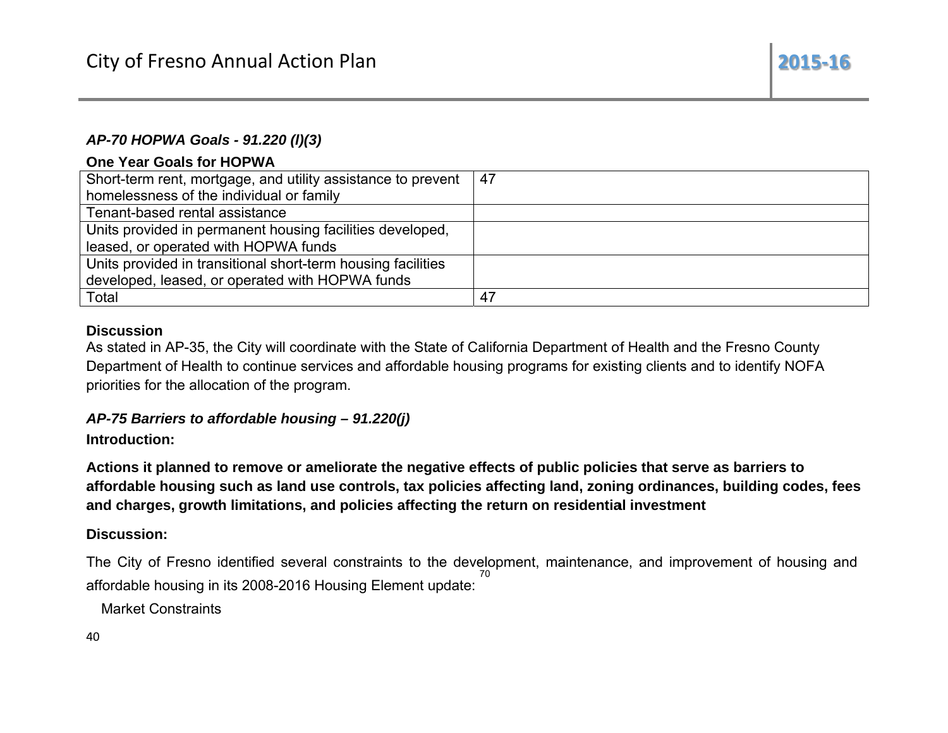## AP-70 HOPWA Goals - 91.220 (I)(3)

## One Year Goals for HOPWA

| Short-term rent, mortgage, and utility assistance to prevent | -47 |
|--------------------------------------------------------------|-----|
| homelessness of the individual or family                     |     |
| Tenant-based rental assistance                               |     |
| Units provided in permanent housing facilities developed,    |     |
| leased, or operated with HOPWA funds                         |     |
| Units provided in transitional short-term housing facilities |     |
| developed, leased, or operated with HOPWA funds              |     |
| Total                                                        | 47  |

2015-16

## **Discussion**

As stated in AP-35, the City will coordinate with the State of California Department of Health and the Fresno County Department of Health to continue services and affordable housing programs for existing clients and to identify NOFA priorities for the allocation of the program.

## AP-75 Barriers to affordable housing - 91.220(j)

## Introduction:

Actions it planned to remove or ameliorate the negative effects of public policies that serve as barriers to affordable housing such as land use controls, tax policies affecting land, zoning ordinances, building codes, fees and charges, growth limitations, and policies affecting the return on residential investment

## Discussion:

The City of Fresno identified several constraints to the development, maintenance, and improvement of housing and affordable housing in its 2008-2016 Housing Element update:

**Market Constraints** 

40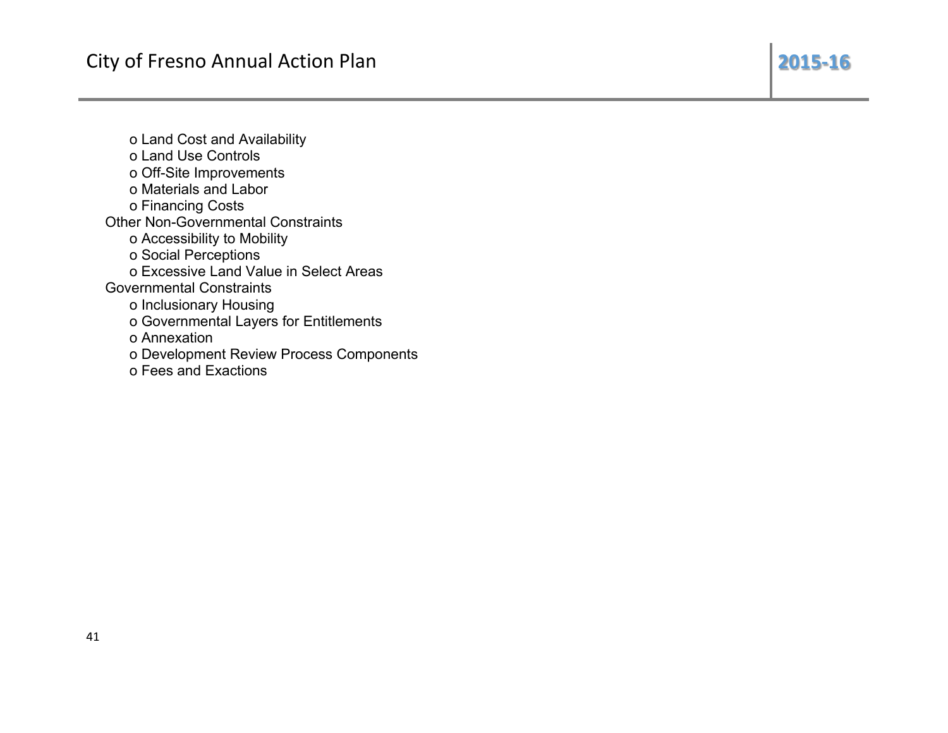2015-16

o Land Cost and Availability o Land Use Controls o Off-Site Improvements o Materials and Labor o Financing Costs **Other Non-Governmental Constraints** o Accessibility to Mobility o Social Perceptions o Excessive Land Value in Select Areas **Governmental Constraints** o Inclusionary Housing o Governmental Layers for Entitlements o Annexation o Development Review Process Components o Fees and Exactions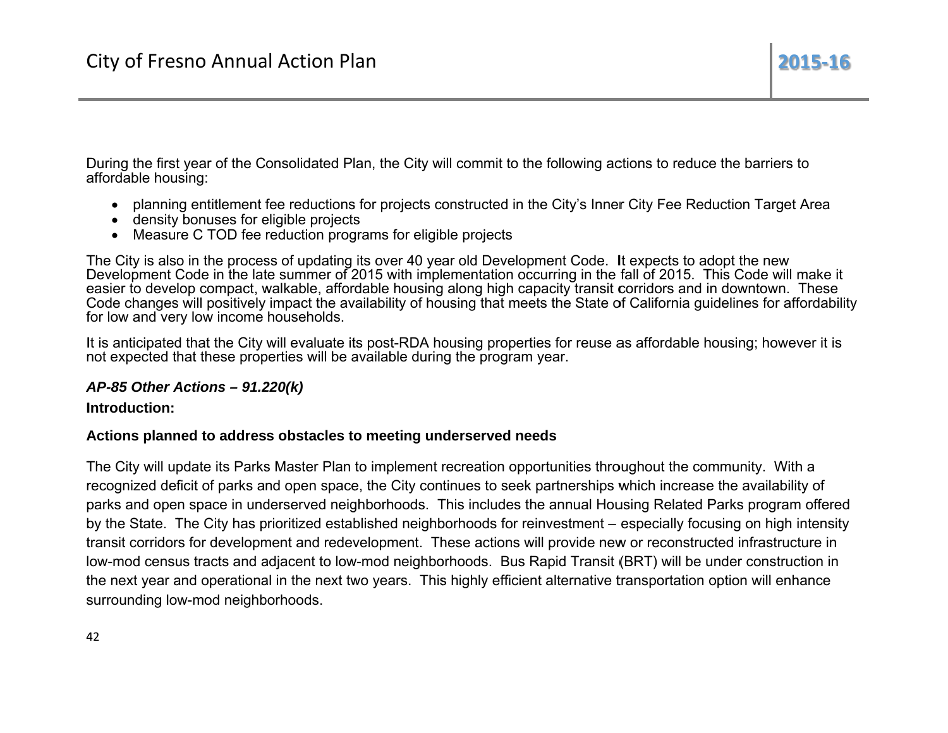During the first year of the Consolidated Plan, the City will commit to the following actions to reduce the barriers to affordable housing:

- planning entitlement fee reductions for projects constructed in the City's Inner City Fee Reduction Target Area
- density bonuses for eligible projects
- Measure C TOD fee reduction programs for eligible projects

The City is also in the process of updating its over 40 year old Development Code. It expects to adopt the new Development Code in the late summer of 2015 with implementation occurring in the fall of 2015. This Code will make it easier to develop compact, walkable, affordable housing along high capacity transit corridors and in downtown. These Code changes will positively impact the availability of housing that meets the State of California guidelines for affordability for low and very low income households.

It is anticipated that the City will evaluate its post-RDA housing properties for reuse as affordable housing; however it is not expected that these properties will be available during the program year.

## AP-85 Other Actions  $-91.220(k)$

Introduction:

## Actions planned to address obstacles to meeting underserved needs

The City will update its Parks Master Plan to implement recreation opportunities throughout the community. With a recognized deficit of parks and open space, the City continues to seek partnerships which increase the availability of parks and open space in underserved neighborhoods. This includes the annual Housing Related Parks program offered by the State. The City has prioritized established neighborhoods for reinvestment – especially focusing on high intensity transit corridors for development and redevelopment. These actions will provide new or reconstructed infrastructure in low-mod census tracts and adjacent to low-mod neighborhoods. Bus Rapid Transit (BRT) will be under construction in the next year and operational in the next two years. This highly efficient alternative transportation option will enhance surrounding low-mod neighborhoods.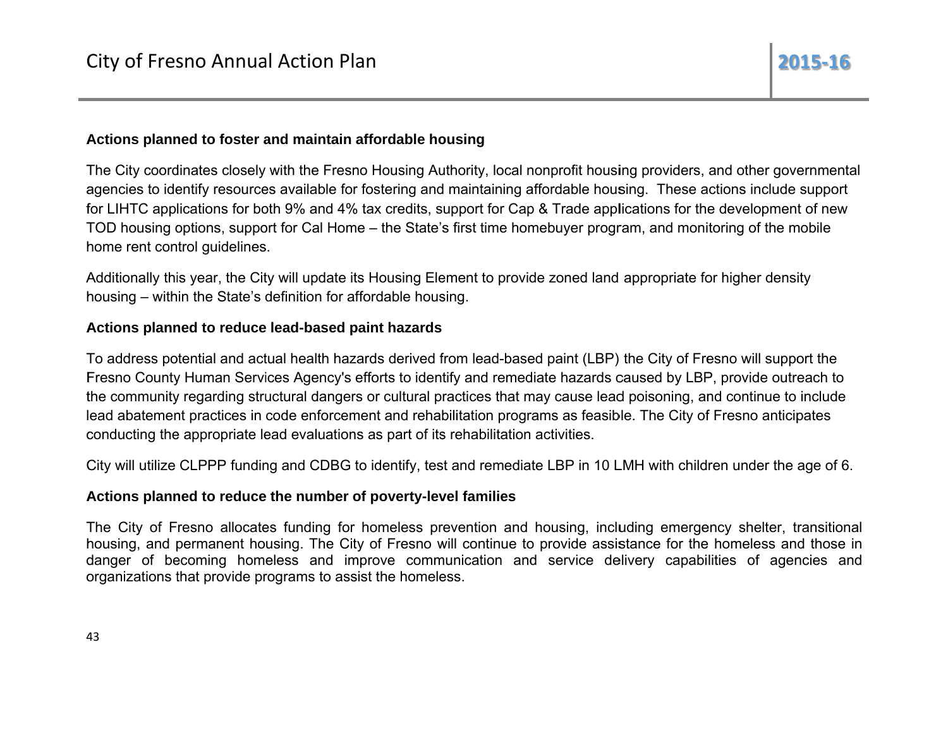#### Actions planned to foster and maintain affordable housing

The City coordinates closely with the Fresno Housing Authority, local nonprofit housing providers, and other governmental agencies to identify resources available for fostering and maintaining affordable housing. These actions include support for LIHTC applications for both 9% and 4% tax credits, support for Cap & Trade applications for the development of new TOD housing options, support for Cal Home – the State's first time homebuyer program, and monitoring of the mobile home rent control guidelines.

Additionally this year, the City will update its Housing Element to provide zoned land appropriate for higher density housing – within the State's definition for affordable housing.

#### Actions planned to reduce lead-based paint hazards

To address potential and actual health hazards derived from lead-based paint (LBP) the City of Fresno will support the Fresno County Human Services Agency's efforts to identify and remediate hazards caused by LBP, provide outreach to the community regarding structural dangers or cultural practices that may cause lead poisoning, and continue to include lead abatement practices in code enforcement and rehabilitation programs as feasible. The City of Fresno anticipates conducting the appropriate lead evaluations as part of its rehabilitation activities.

City will utilize CLPPP funding and CDBG to identify, test and remediate LBP in 10 LMH with children under the age of 6.

## Actions planned to reduce the number of poverty-level families

The City of Fresno allocates funding for homeless prevention and housing, including emergency shelter, transitional housing, and permanent housing. The City of Fresno will continue to provide assistance for the homeless and those in danger of becoming homeless and improve communication and service delivery capabilities of agencies and organizations that provide programs to assist the homeless.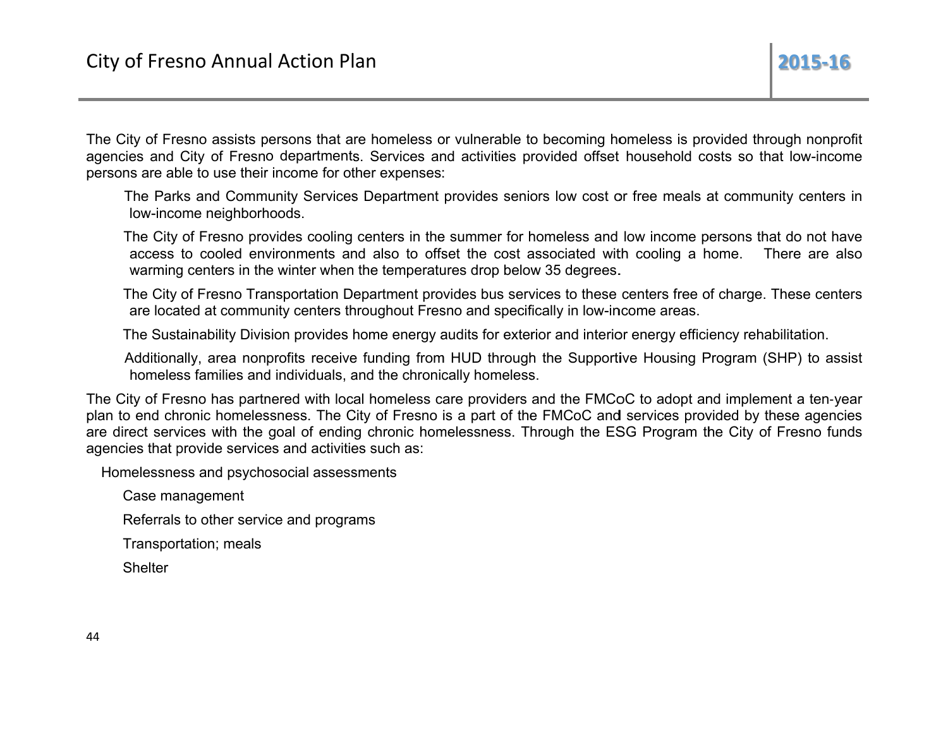The City of Fresno assists persons that are homeless or vulnerable to becoming homeless is provided through nonprofit agencies and City of Fresno departments. Services and activities provided offset household costs so that low-income persons are able to use their income for other expenses:

The Parks and Community Services Department provides seniors low cost or free meals at community centers in low-income neighborhoods.

The City of Fresno provides cooling centers in the summer for homeless and low income persons that do not have access to cooled environments and also to offset the cost associated with cooling a home. There are also warming centers in the winter when the temperatures drop below 35 degrees.

The City of Fresno Transportation Department provides bus services to these centers free of charge. These centers are located at community centers throughout Fresno and specifically in low-income areas.

The Sustainability Division provides home energy audits for exterior and interior energy efficiency rehabilitation.

Additionally, area nonprofits receive funding from HUD through the Supportive Housing Program (SHP) to assist homeless families and individuals, and the chronically homeless.

The City of Fresno has partnered with local homeless care providers and the FMCoC to adopt and implement a ten-year plan to end chronic homelessness. The City of Fresno is a part of the FMCoC and services provided by these agencies are direct services with the goal of ending chronic homelessness. Through the ESG Program the City of Fresno funds agencies that provide services and activities such as:

Homelessness and psychosocial assessments

Case management

Referrals to other service and programs

Transportation; meals

**Shelter**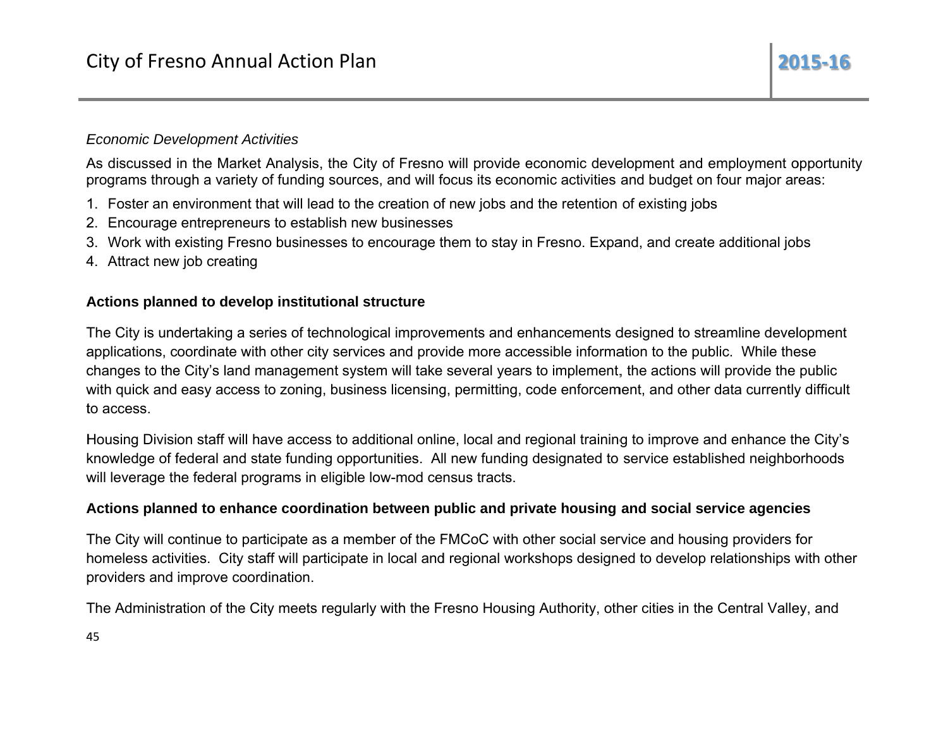## **Economic Development Activities**

As discussed in the Market Analysis, the City of Fresno will provide economic development and employment opportunity programs through a variety of funding sources, and will focus its economic activities and budget on four major areas:

- 1. Foster an environment that will lead to the creation of new jobs and the retention of existing jobs
- 2. Encourage entrepreneurs to establish new businesses
- 3. Work with existing Fresno businesses to encourage them to stay in Fresno. Expand, and create additional jobs
- 4. Attract new job creating

## Actions planned to develop institutional structure

The City is undertaking a series of technological improvements and enhancements designed to streamline development applications, coordinate with other city services and provide more accessible information to the public. While these changes to the City's land management system will take several years to implement, the actions will provide the public with quick and easy access to zoning, business licensing, permitting, code enforcement, and other data currently difficult to access.

Housing Division staff will have access to additional online, local and regional training to improve and enhance the City's knowledge of federal and state funding opportunities. All new funding designated to service established neighborhoods will leverage the federal programs in eligible low-mod census tracts.

## Actions planned to enhance coordination between public and private housing and social service agencies

The City will continue to participate as a member of the FMCoC with other social service and housing providers for homeless activities. City staff will participate in local and regional workshops designed to develop relationships with other providers and improve coordination.

The Administration of the City meets regularly with the Fresno Housing Authority, other cities in the Central Valley, and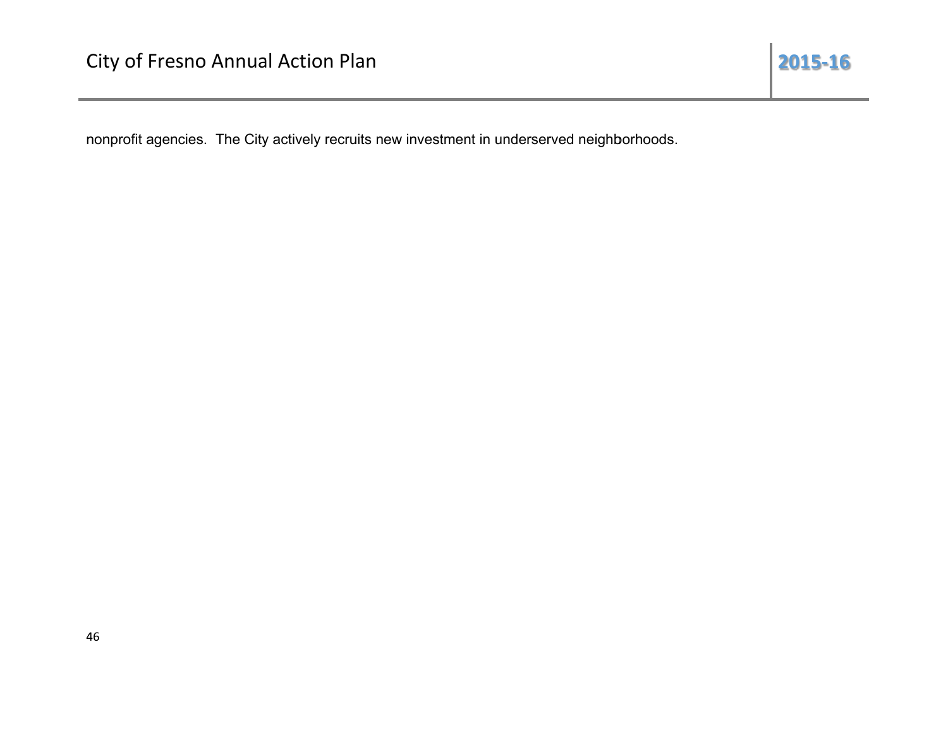nonprofit agencies. The City actively recruits new investment in underserved neighborhoods.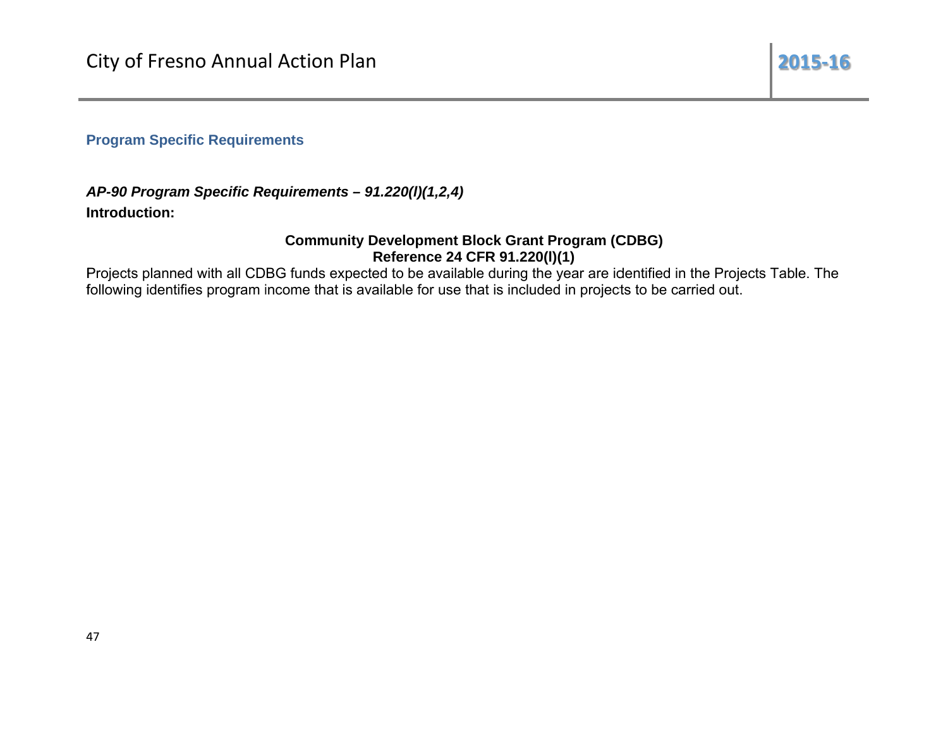**Program Specific Requirements** 

AP-90 Program Specific Requirements - 91.220(I)(1,2,4) Introduction:

## **Community Development Block Grant Program (CDBG)** Reference 24 CFR 91.220(I)(1)

Projects planned with all CDBG funds expected to be available during the year are identified in the Projects Table. The following identifies program income that is available for use that is included in projects to be carried out.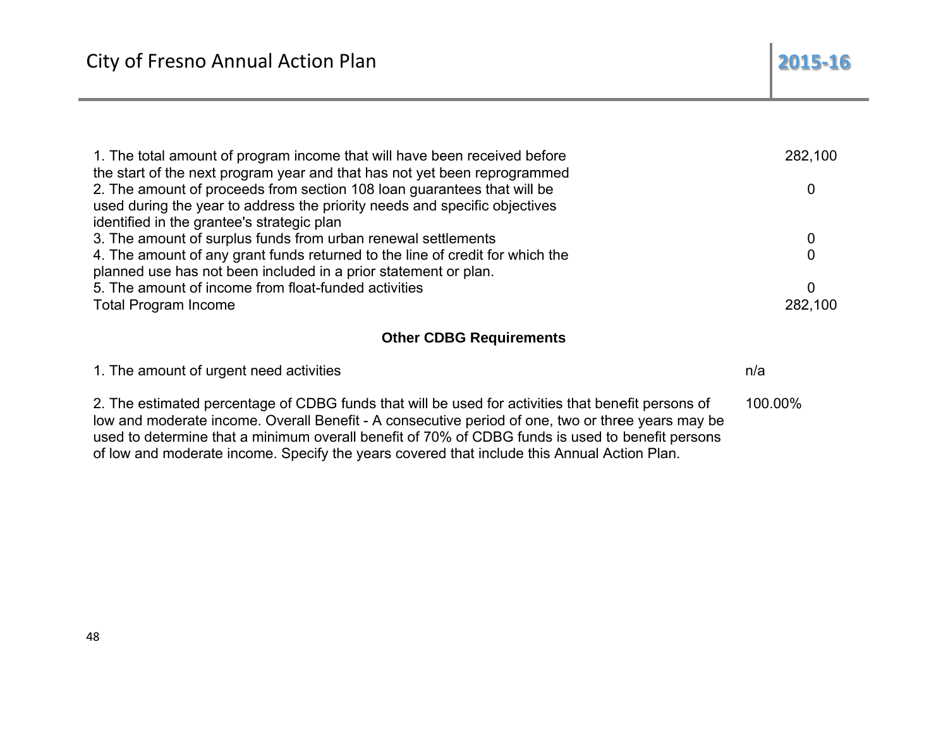| 1. The total amount of program income that will have been received before<br>the start of the next program year and that has not yet been reprogrammed | 282,100 |
|--------------------------------------------------------------------------------------------------------------------------------------------------------|---------|
| 2. The amount of proceeds from section 108 loan guarantees that will be                                                                                |         |
| used during the year to address the priority needs and specific objectives                                                                             |         |
| identified in the grantee's strategic plan                                                                                                             |         |
| 3. The amount of surplus funds from urban renewal settlements                                                                                          |         |
| 4. The amount of any grant funds returned to the line of credit for which the                                                                          |         |
| planned use has not been included in a prior statement or plan.                                                                                        |         |
| 5. The amount of income from float-funded activities                                                                                                   | 0       |
| <b>Total Program Income</b>                                                                                                                            | 282,100 |

## **Other CDBG Requirements**

| 1. The amount of urgent need activities                                                                                                                                                                                                                                                                                                                                                                    | n/a     |
|------------------------------------------------------------------------------------------------------------------------------------------------------------------------------------------------------------------------------------------------------------------------------------------------------------------------------------------------------------------------------------------------------------|---------|
| 2. The estimated percentage of CDBG funds that will be used for activities that benefit persons of<br>low and moderate income. Overall Benefit - A consecutive period of one, two or three years may be<br>used to determine that a minimum overall benefit of 70% of CDBG funds is used to benefit persons<br>of low and moderate income. Specify the years covered that include this Annual Action Plan. | 100.00% |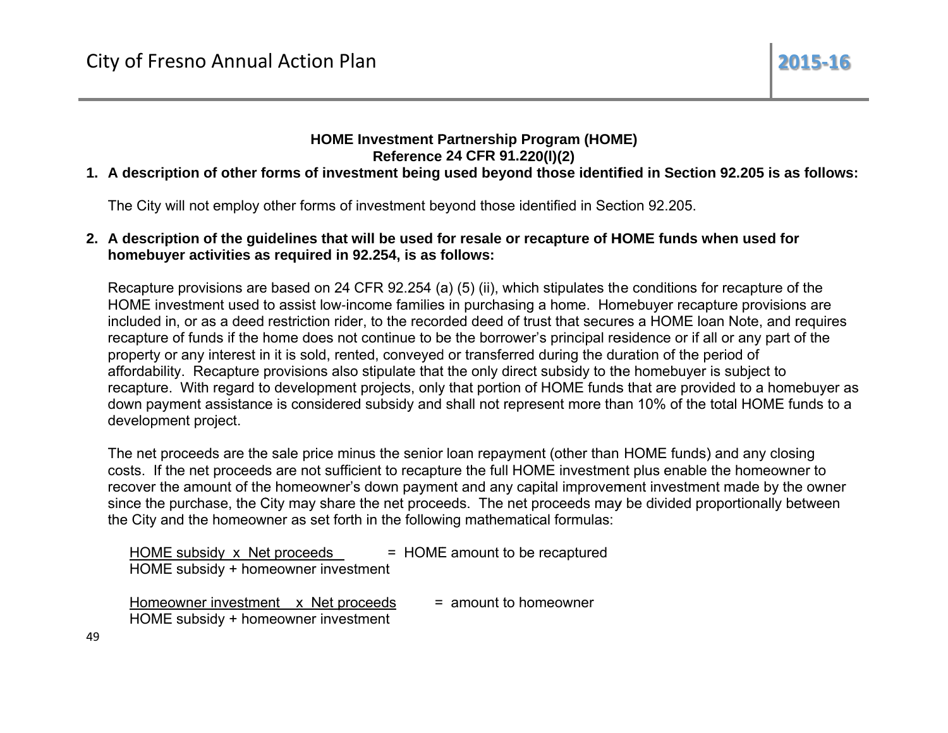## **HOME Investment Partnership Program (HOME)** Reference 24 CFR 91.220(I)(2)

## 1. A description of other forms of investment being used beyond those identified in Section 92.205 is as follows:

The City will not employ other forms of investment beyond those identified in Section 92.205.

## 2. A description of the guidelines that will be used for resale or recapture of HOME funds when used for homebuyer activities as required in 92.254, is as follows:

Recapture provisions are based on 24 CFR 92.254 (a) (5) (ii), which stipulates the conditions for recapture of the HOME investment used to assist low-income families in purchasing a home. Homebuyer recapture provisions are included in, or as a deed restriction rider, to the recorded deed of trust that secures a HOME loan Note, and requires recapture of funds if the home does not continue to be the borrower's principal residence or if all or any part of the property or any interest in it is sold, rented, conveyed or transferred during the duration of the period of affordability. Recapture provisions also stipulate that the only direct subsidy to the homebuyer is subject to recapture. With regard to development projects, only that portion of HOME funds that are provided to a homebuyer as down payment assistance is considered subsidy and shall not represent more than 10% of the total HOME funds to a development project.

The net proceeds are the sale price minus the senior loan repayment (other than HOME funds) and any closing costs. If the net proceeds are not sufficient to recapture the full HOME investment plus enable the homeowner to recover the amount of the homeowner's down payment and any capital improvement investment made by the owner since the purchase, the City may share the net proceeds. The net proceeds may be divided proportionally between the City and the homeowner as set forth in the following mathematical formulas:

| HOME subsidy x Net proceeds         | = HOME amount to be recaptured |
|-------------------------------------|--------------------------------|
| HOME subsidy + homeowner investment |                                |
|                                     |                                |
| Homeowner investment x Net proceeds | = amount to homeowner          |
| HOME subsidy + homeowner investment |                                |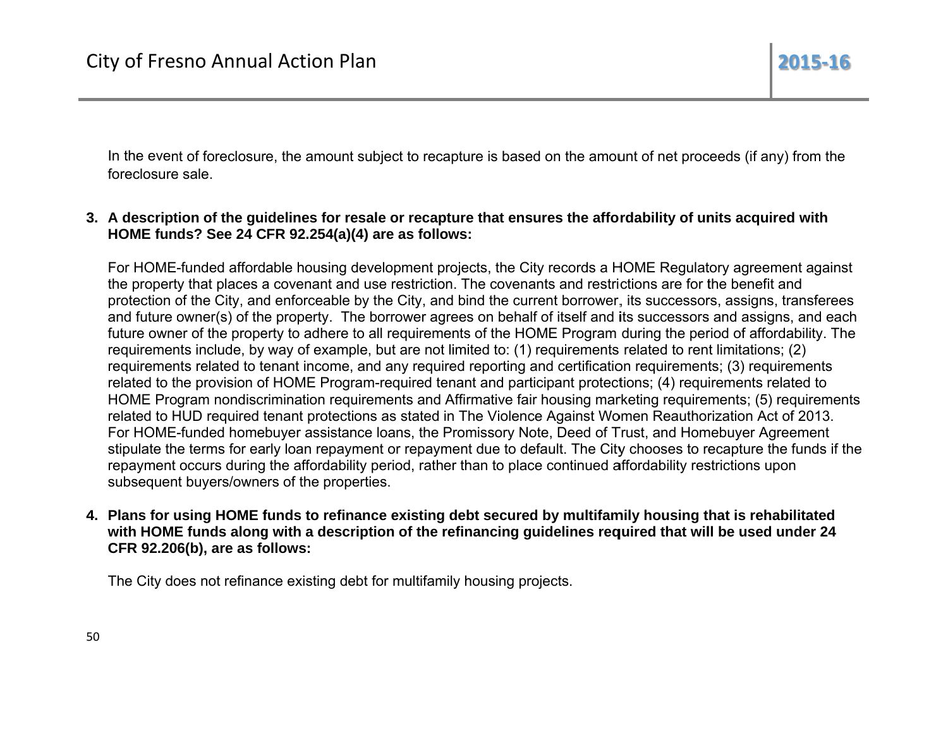In the event of foreclosure, the amount subject to recapture is based on the amount of net proceeds (if any) from the foreclosure sale

## 3. A description of the guidelines for resale or recapture that ensures the affordability of units acquired with HOME funds? See 24 CFR 92.254(a)(4) are as follows:

For HOME-funded affordable housing development projects, the City records a HOME Regulatory agreement against the property that places a covenant and use restriction. The covenants and restrictions are for the benefit and protection of the City, and enforceable by the City, and bind the current borrower, its successors, assigns, transferees and future owner(s) of the property. The borrower agrees on behalf of itself and its successors and assigns, and each future owner of the property to adhere to all requirements of the HOME Program during the period of affordability. The requirements include, by way of example, but are not limited to: (1) requirements related to rent limitations; (2) requirements related to tenant income, and any required reporting and certification requirements; (3) requirements related to the provision of HOME Program-required tenant and participant protections; (4) requirements related to HOME Program nondiscrimination requirements and Affirmative fair housing marketing requirements; (5) requirements related to HUD required tenant protections as stated in The Violence Against Women Reauthorization Act of 2013. For HOME-funded homebuyer assistance loans, the Promissory Note, Deed of Trust, and Homebuyer Agreement stipulate the terms for early loan repayment or repayment due to default. The City chooses to recapture the funds if the repayment occurs during the affordability period, rather than to place continued affordability restrictions upon subsequent buyers/owners of the properties.

4. Plans for using HOME funds to refinance existing debt secured by multifamily housing that is rehabilitated with HOME funds along with a description of the refinancing guidelines required that will be used under 24 CFR 92.206(b), are as follows:

The City does not refinance existing debt for multifamily housing projects.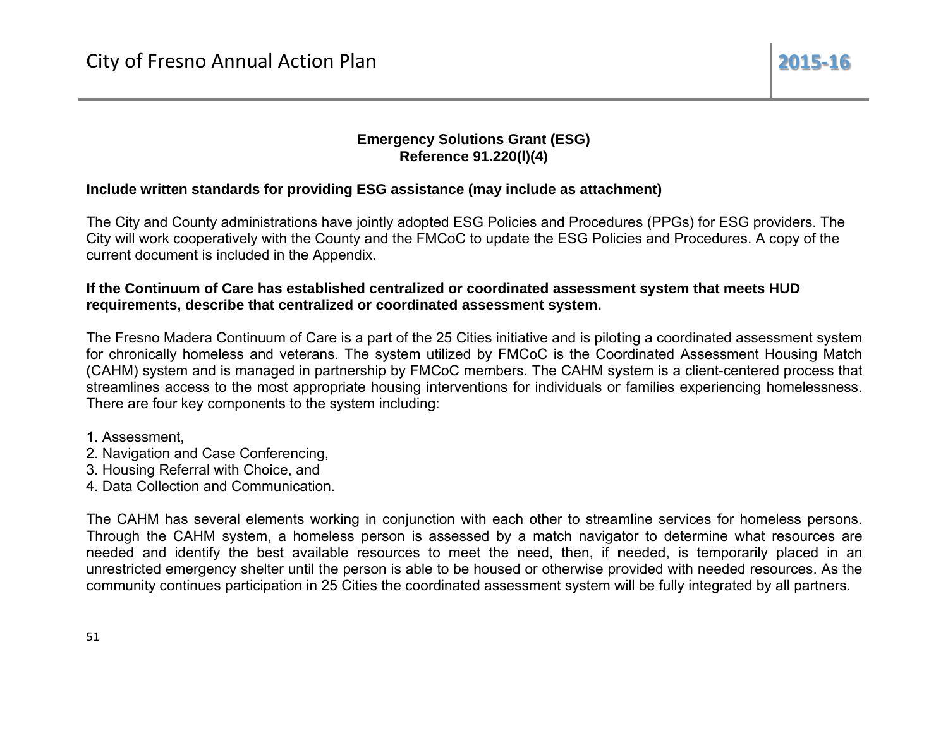## **Emergency Solutions Grant (ESG)** Reference 91.220(I)(4)

## Include written standards for providing ESG assistance (may include as attachment)

The City and County administrations have jointly adopted ESG Policies and Procedures (PPGs) for ESG providers. The City will work cooperatively with the County and the FMCoC to update the ESG Policies and Procedures. A copy of the current document is included in the Appendix.

#### If the Continuum of Care has established centralized or coordinated assessment system that meets HUD requirements, describe that centralized or coordinated assessment system.

The Fresno Madera Continuum of Care is a part of the 25 Cities initiative and is piloting a coordinated assessment system for chronically homeless and veterans. The system utilized by FMCoC is the Coordinated Assessment Housing Match (CAHM) system and is managed in partnership by FMCoC members. The CAHM system is a client-centered process that streamlines access to the most appropriate housing interventions for individuals or families experiencing homelessness. There are four key components to the system including:

1. Assessment.

- 2. Navigation and Case Conferencing,
- 3. Housing Referral with Choice, and
- 4 Data Collection and Communication

The CAHM has several elements working in conjunction with each other to streamline services for homeless persons. Through the CAHM system, a homeless person is assessed by a match navigator to determine what resources are needed and identify the best available resources to meet the need, then, if needed, is temporarily placed in an unrestricted emergency shelter until the person is able to be housed or otherwise provided with needed resources. As the community continues participation in 25 Cities the coordinated assessment system will be fully integrated by all partners.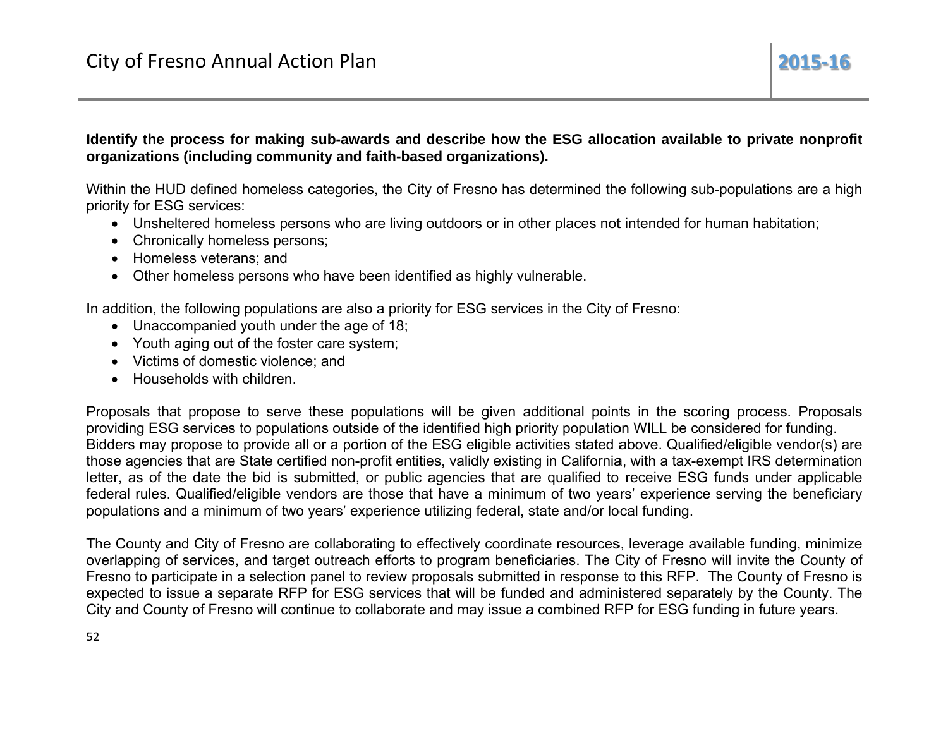ldentify the process for making sub-awards and describe how the ESG allocation available to private nonprofit **o**rganizations (including community and faith-based organizations).

Within the HUD defined homeless categories, the City of Fresno has determined the following sub-populations are a high p priority for ESG G services:

- $\bullet$  Unsheltered homeless persons who are living outdoors or in other places not intended for human habitation;
- Chronically homeless persons;
- Homeless veterans; and
- Other homeless persons who have been identified as highly vulnerable.

In addition, the following populations are also a priority for ESG services in the City of Fresno:

- Unaccompanied youth under the age of 18;
- Youth aging out of the foster care system;
- Victims of domestic violence; and
- $\bullet$  Households with children.

Proposals that propose to serve these populations will be given additional points in the scoring process. Proposals providing ESG services to populations outside of the identified high priority population WILL be considered for funding. Bidders may propose to provide all or a portion of the ESG eligible activities stated above. Qualified/eligible vendor(s) are those agencies that are State certified non-profit entities, validly existing in California, with a tax-exempt IRS determination lletter, as of the date the bid is submitted, or public agencies that are qualified to receive ESG funds under applicable federal rules. Qualified/eligible vendors are those that have a minimum of two years' experience serving the beneficiary populations and a minimum of two years' experience utilizing federal, state and/or local funding.

The County and City of Fresno are collaborating to effectively coordinate resources, leverage available funding, minimize overlapping of services, and target outreach efforts to program beneficiaries. The City of Fresno will invite the County of Fresno to participate in a selection panel to review proposals submitted in response to this RFP. The County of Fresno is expected to issue a separate RFP for ESG services that will be funded and administered separately by the County. The City and County of Fresno will continue to collaborate and may issue a combined RFP for ESG funding in future years.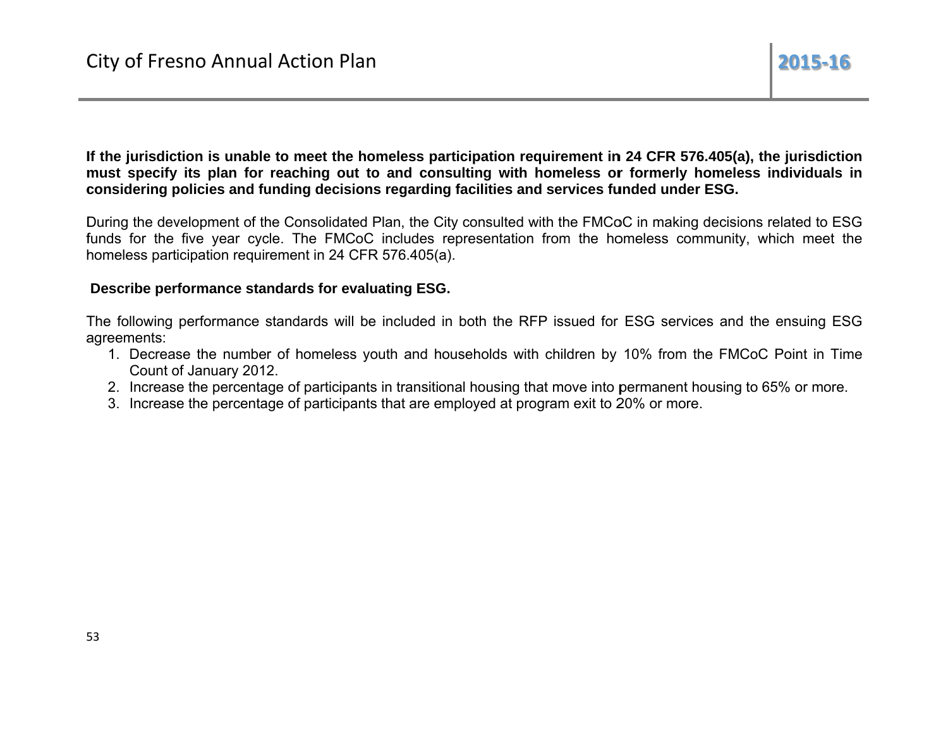If the jurisdiction is unable to meet the homeless participation requirement in 24 CFR 576.405(a), the jurisdiction must specify its plan for reaching out to and consulting with homeless or formerly homeless individuals in considering policies and funding decisions regarding facilities and services funded under ESG.

During the development of the Consolidated Plan, the City consulted with the FMCoC in making decisions related to ESG funds for the five year cycle. The FMCoC includes representation from the homeless community, which meet the homeless participation requirement in 24 CFR 576.405(a).

#### Describe performance standards for evaluating ESG.

The following performance standards will be included in both the RFP issued for ESG services and the ensuing ESG agreements:

- 1. Decrease the number of homeless youth and households with children by 10% from the FMCoC Point in Time Count of January 2012.
- 2. Increase the percentage of participants in transitional housing that move into permanent housing to 65% or more.
- 3. Increase the percentage of participants that are employed at program exit to 20% or more.